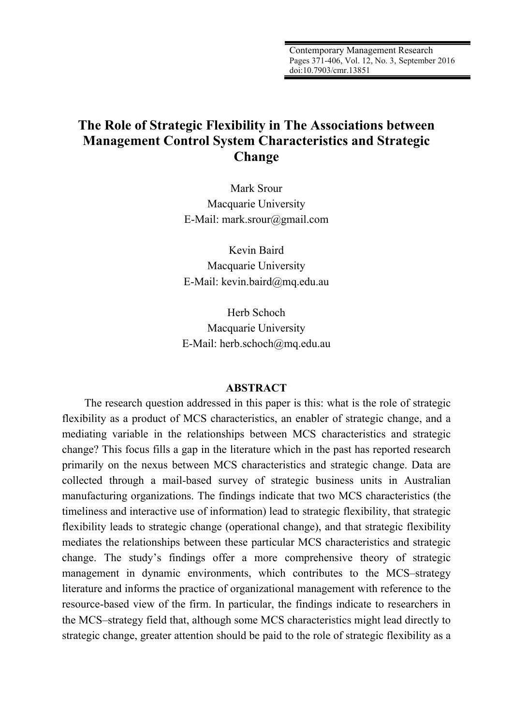Contemporary Management Research Pages 371-406, Vol. 12, No. 3, September 2016 doi:10.7903/cmr.13851

# **The Role of Strategic Flexibility in The Associations between Management Control System Characteristics and Strategic Change**

Mark Srour Macquarie University E-Mail: mark.srour@gmail.com

Kevin Baird Macquarie University E-Mail: kevin.baird@mq.edu.au

Herb Schoch Macquarie University E-Mail: herb.schoch@mq.edu.au

#### **ABSTRACT**

The research question addressed in this paper is this: what is the role of strategic flexibility as a product of MCS characteristics, an enabler of strategic change, and a mediating variable in the relationships between MCS characteristics and strategic change? This focus fills a gap in the literature which in the past has reported research primarily on the nexus between MCS characteristics and strategic change. Data are collected through a mail-based survey of strategic business units in Australian manufacturing organizations. The findings indicate that two MCS characteristics (the timeliness and interactive use of information) lead to strategic flexibility, that strategic flexibility leads to strategic change (operational change), and that strategic flexibility mediates the relationships between these particular MCS characteristics and strategic change. The study's findings offer a more comprehensive theory of strategic management in dynamic environments, which contributes to the MCS–strategy literature and informs the practice of organizational management with reference to the resource-based view of the firm. In particular, the findings indicate to researchers in the MCS–strategy field that, although some MCS characteristics might lead directly to strategic change, greater attention should be paid to the role of strategic flexibility as a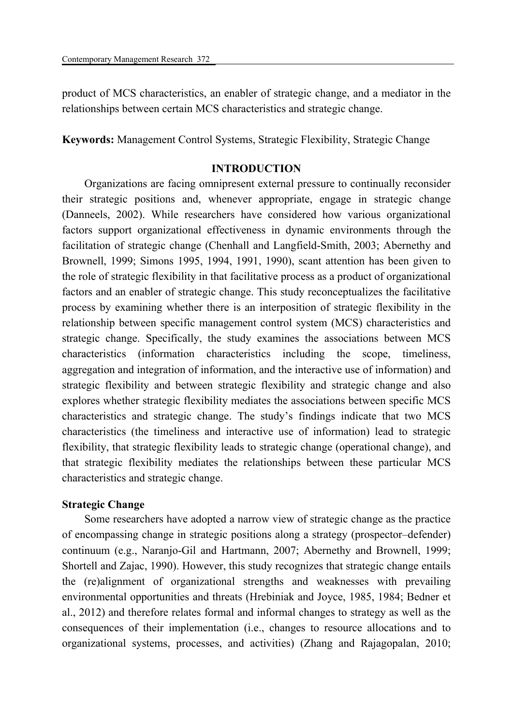product of MCS characteristics, an enabler of strategic change, and a mediator in the relationships between certain MCS characteristics and strategic change.

**Keywords:** Management Control Systems, Strategic Flexibility, Strategic Change

# **INTRODUCTION**

Organizations are facing omnipresent external pressure to continually reconsider their strategic positions and, whenever appropriate, engage in strategic change (Danneels, 2002). While researchers have considered how various organizational factors support organizational effectiveness in dynamic environments through the facilitation of strategic change (Chenhall and Langfield-Smith, 2003; Abernethy and Brownell, 1999; Simons 1995, 1994, 1991, 1990), scant attention has been given to the role of strategic flexibility in that facilitative process as a product of organizational factors and an enabler of strategic change. This study reconceptualizes the facilitative process by examining whether there is an interposition of strategic flexibility in the relationship between specific management control system (MCS) characteristics and strategic change. Specifically, the study examines the associations between MCS characteristics (information characteristics including the scope, timeliness, aggregation and integration of information, and the interactive use of information) and strategic flexibility and between strategic flexibility and strategic change and also explores whether strategic flexibility mediates the associations between specific MCS characteristics and strategic change. The study's findings indicate that two MCS characteristics (the timeliness and interactive use of information) lead to strategic flexibility, that strategic flexibility leads to strategic change (operational change), and that strategic flexibility mediates the relationships between these particular MCS characteristics and strategic change.

# **Strategic Change**

Some researchers have adopted a narrow view of strategic change as the practice of encompassing change in strategic positions along a strategy (prospector–defender) continuum (e.g., Naranjo-Gil and Hartmann, 2007; Abernethy and Brownell, 1999; Shortell and Zajac, 1990). However, this study recognizes that strategic change entails the (re)alignment of organizational strengths and weaknesses with prevailing environmental opportunities and threats (Hrebiniak and Joyce, 1985, 1984; Bedner et al., 2012) and therefore relates formal and informal changes to strategy as well as the consequences of their implementation (i.e., changes to resource allocations and to organizational systems, processes, and activities) (Zhang and Rajagopalan, 2010;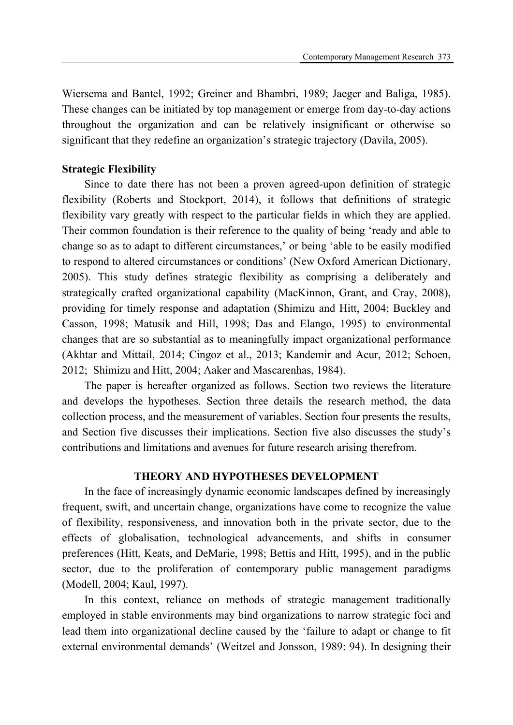Wiersema and Bantel, 1992; Greiner and Bhambri, 1989; Jaeger and Baliga, 1985). These changes can be initiated by top management or emerge from day-to-day actions throughout the organization and can be relatively insignificant or otherwise so significant that they redefine an organization's strategic trajectory (Davila, 2005).

### **Strategic Flexibility**

Since to date there has not been a proven agreed-upon definition of strategic flexibility (Roberts and Stockport, 2014), it follows that definitions of strategic flexibility vary greatly with respect to the particular fields in which they are applied. Their common foundation is their reference to the quality of being 'ready and able to change so as to adapt to different circumstances,' or being 'able to be easily modified to respond to altered circumstances or conditions' (New Oxford American Dictionary, 2005). This study defines strategic flexibility as comprising a deliberately and strategically crafted organizational capability (MacKinnon, Grant, and Cray, 2008), providing for timely response and adaptation (Shimizu and Hitt, 2004; Buckley and Casson, 1998; Matusik and Hill, 1998; Das and Elango, 1995) to environmental changes that are so substantial as to meaningfully impact organizational performance (Akhtar and Mittail, 2014; Cingoz et al., 2013; Kandemir and Acur, 2012; Schoen, 2012; Shimizu and Hitt, 2004; Aaker and Mascarenhas, 1984).

The paper is hereafter organized as follows. Section two reviews the literature and develops the hypotheses. Section three details the research method, the data collection process, and the measurement of variables. Section four presents the results, and Section five discusses their implications. Section five also discusses the study's contributions and limitations and avenues for future research arising therefrom.

# **THEORY AND HYPOTHESES DEVELOPMENT**

In the face of increasingly dynamic economic landscapes defined by increasingly frequent, swift, and uncertain change, organizations have come to recognize the value of flexibility, responsiveness, and innovation both in the private sector, due to the effects of globalisation, technological advancements, and shifts in consumer preferences (Hitt, Keats, and DeMarie, 1998; Bettis and Hitt, 1995), and in the public sector, due to the proliferation of contemporary public management paradigms (Modell, 2004; Kaul, 1997).

In this context, reliance on methods of strategic management traditionally employed in stable environments may bind organizations to narrow strategic foci and lead them into organizational decline caused by the 'failure to adapt or change to fit external environmental demands' (Weitzel and Jonsson, 1989: 94). In designing their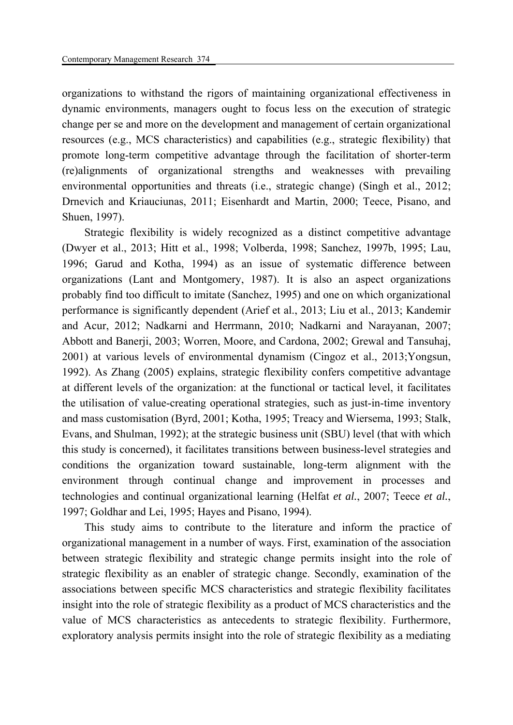organizations to withstand the rigors of maintaining organizational effectiveness in dynamic environments, managers ought to focus less on the execution of strategic change per se and more on the development and management of certain organizational resources (e.g., MCS characteristics) and capabilities (e.g., strategic flexibility) that promote long-term competitive advantage through the facilitation of shorter-term (re)alignments of organizational strengths and weaknesses with prevailing environmental opportunities and threats (i.e., strategic change) (Singh et al., 2012; Drnevich and Kriauciunas, 2011; Eisenhardt and Martin, 2000; Teece, Pisano, and Shuen, 1997).

Strategic flexibility is widely recognized as a distinct competitive advantage (Dwyer et al., 2013; Hitt et al., 1998; Volberda, 1998; Sanchez, 1997b, 1995; Lau, 1996; Garud and Kotha, 1994) as an issue of systematic difference between organizations (Lant and Montgomery, 1987). It is also an aspect organizations probably find too difficult to imitate (Sanchez, 1995) and one on which organizational performance is significantly dependent (Arief et al., 2013; Liu et al., 2013; Kandemir and Acur, 2012; Nadkarni and Herrmann, 2010; Nadkarni and Narayanan, 2007; Abbott and Banerji, 2003; Worren, Moore, and Cardona, 2002; Grewal and Tansuhaj, 2001) at various levels of environmental dynamism (Cingoz et al., 2013;Yongsun, 1992). As Zhang (2005) explains, strategic flexibility confers competitive advantage at different levels of the organization: at the functional or tactical level, it facilitates the utilisation of value-creating operational strategies, such as just-in-time inventory and mass customisation (Byrd, 2001; Kotha, 1995; Treacy and Wiersema, 1993; Stalk, Evans, and Shulman, 1992); at the strategic business unit (SBU) level (that with which this study is concerned), it facilitates transitions between business-level strategies and conditions the organization toward sustainable, long-term alignment with the environment through continual change and improvement in processes and technologies and continual organizational learning (Helfat *et al.*, 2007; Teece *et al.*, 1997; Goldhar and Lei, 1995; Hayes and Pisano, 1994).

This study aims to contribute to the literature and inform the practice of organizational management in a number of ways. First, examination of the association between strategic flexibility and strategic change permits insight into the role of strategic flexibility as an enabler of strategic change. Secondly, examination of the associations between specific MCS characteristics and strategic flexibility facilitates insight into the role of strategic flexibility as a product of MCS characteristics and the value of MCS characteristics as antecedents to strategic flexibility. Furthermore, exploratory analysis permits insight into the role of strategic flexibility as a mediating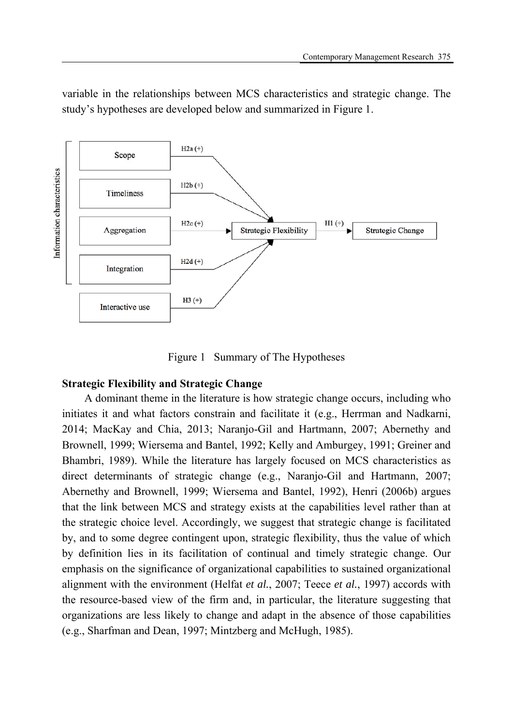

variable in the relationships between MCS characteristics and strategic change. The study's hypotheses are developed below and summarized in Figure 1.

Figure 1 Summary of The Hypotheses

# **Strategic Flexibility and Strategic Change**

A dominant theme in the literature is how strategic change occurs, including who initiates it and what factors constrain and facilitate it (e.g., Herrman and Nadkarni, 2014; MacKay and Chia, 2013; Naranjo-Gil and Hartmann, 2007; Abernethy and Brownell, 1999; Wiersema and Bantel, 1992; Kelly and Amburgey, 1991; Greiner and Bhambri, 1989). While the literature has largely focused on MCS characteristics as direct determinants of strategic change (e.g., Naranjo-Gil and Hartmann, 2007; Abernethy and Brownell, 1999; Wiersema and Bantel, 1992), Henri (2006b) argues that the link between MCS and strategy exists at the capabilities level rather than at the strategic choice level. Accordingly, we suggest that strategic change is facilitated by, and to some degree contingent upon, strategic flexibility, thus the value of which by definition lies in its facilitation of continual and timely strategic change. Our emphasis on the significance of organizational capabilities to sustained organizational alignment with the environment (Helfat *et al.*, 2007; Teece *et al.*, 1997) accords with the resource-based view of the firm and, in particular, the literature suggesting that organizations are less likely to change and adapt in the absence of those capabilities (e.g., Sharfman and Dean, 1997; Mintzberg and McHugh, 1985).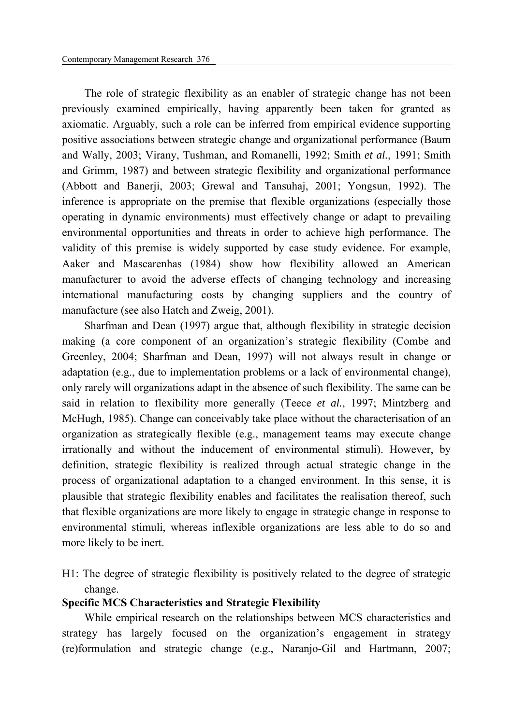The role of strategic flexibility as an enabler of strategic change has not been previously examined empirically, having apparently been taken for granted as axiomatic. Arguably, such a role can be inferred from empirical evidence supporting positive associations between strategic change and organizational performance (Baum and Wally, 2003; Virany, Tushman, and Romanelli, 1992; Smith *et al.*, 1991; Smith and Grimm, 1987) and between strategic flexibility and organizational performance (Abbott and Banerji, 2003; Grewal and Tansuhaj, 2001; Yongsun, 1992). The inference is appropriate on the premise that flexible organizations (especially those operating in dynamic environments) must effectively change or adapt to prevailing environmental opportunities and threats in order to achieve high performance. The validity of this premise is widely supported by case study evidence. For example, Aaker and Mascarenhas (1984) show how flexibility allowed an American manufacturer to avoid the adverse effects of changing technology and increasing international manufacturing costs by changing suppliers and the country of manufacture (see also Hatch and Zweig, 2001).

Sharfman and Dean (1997) argue that, although flexibility in strategic decision making (a core component of an organization's strategic flexibility (Combe and Greenley, 2004; Sharfman and Dean, 1997) will not always result in change or adaptation (e.g., due to implementation problems or a lack of environmental change), only rarely will organizations adapt in the absence of such flexibility. The same can be said in relation to flexibility more generally (Teece *et al.*, 1997; Mintzberg and McHugh, 1985). Change can conceivably take place without the characterisation of an organization as strategically flexible (e.g., management teams may execute change irrationally and without the inducement of environmental stimuli). However, by definition, strategic flexibility is realized through actual strategic change in the process of organizational adaptation to a changed environment. In this sense, it is plausible that strategic flexibility enables and facilitates the realisation thereof, such that flexible organizations are more likely to engage in strategic change in response to environmental stimuli, whereas inflexible organizations are less able to do so and more likely to be inert.

H1: The degree of strategic flexibility is positively related to the degree of strategic change.

### **Specific MCS Characteristics and Strategic Flexibility**

While empirical research on the relationships between MCS characteristics and strategy has largely focused on the organization's engagement in strategy (re)formulation and strategic change (e.g., Naranjo-Gil and Hartmann, 2007;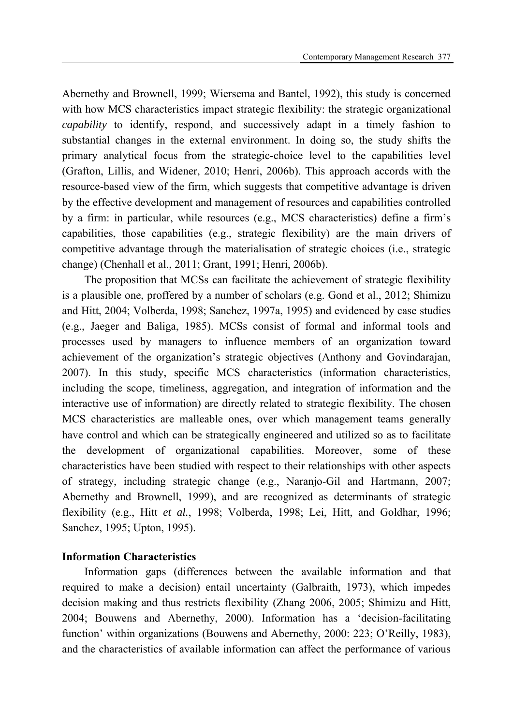Abernethy and Brownell, 1999; Wiersema and Bantel, 1992), this study is concerned with how MCS characteristics impact strategic flexibility: the strategic organizational *capability* to identify, respond, and successively adapt in a timely fashion to substantial changes in the external environment. In doing so, the study shifts the primary analytical focus from the strategic-choice level to the capabilities level (Grafton, Lillis, and Widener, 2010; Henri, 2006b). This approach accords with the resource-based view of the firm, which suggests that competitive advantage is driven by the effective development and management of resources and capabilities controlled by a firm: in particular, while resources (e.g., MCS characteristics) define a firm's capabilities, those capabilities (e.g., strategic flexibility) are the main drivers of competitive advantage through the materialisation of strategic choices (i.e., strategic change) (Chenhall et al., 2011; Grant, 1991; Henri, 2006b).

The proposition that MCSs can facilitate the achievement of strategic flexibility is a plausible one, proffered by a number of scholars (e.g. Gond et al., 2012; Shimizu and Hitt, 2004; Volberda, 1998; Sanchez, 1997a, 1995) and evidenced by case studies (e.g., Jaeger and Baliga, 1985). MCSs consist of formal and informal tools and processes used by managers to influence members of an organization toward achievement of the organization's strategic objectives (Anthony and Govindarajan, 2007). In this study, specific MCS characteristics (information characteristics, including the scope, timeliness, aggregation, and integration of information and the interactive use of information) are directly related to strategic flexibility. The chosen MCS characteristics are malleable ones, over which management teams generally have control and which can be strategically engineered and utilized so as to facilitate the development of organizational capabilities. Moreover, some of these characteristics have been studied with respect to their relationships with other aspects of strategy, including strategic change (e.g., Naranjo-Gil and Hartmann, 2007; Abernethy and Brownell, 1999), and are recognized as determinants of strategic flexibility (e.g., Hitt *et al.*, 1998; Volberda, 1998; Lei, Hitt, and Goldhar, 1996; Sanchez, 1995; Upton, 1995).

### **Information Characteristics**

Information gaps (differences between the available information and that required to make a decision) entail uncertainty (Galbraith, 1973), which impedes decision making and thus restricts flexibility (Zhang 2006, 2005; Shimizu and Hitt, 2004; Bouwens and Abernethy, 2000). Information has a 'decision-facilitating function' within organizations (Bouwens and Abernethy, 2000: 223; O'Reilly, 1983), and the characteristics of available information can affect the performance of various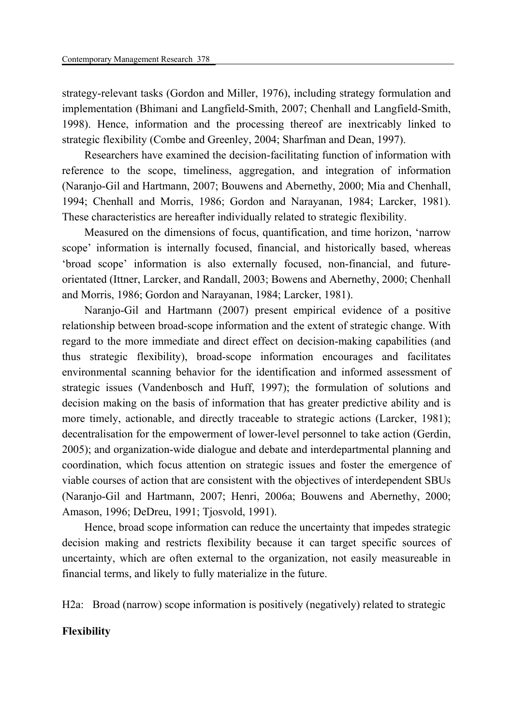strategy-relevant tasks (Gordon and Miller, 1976), including strategy formulation and implementation (Bhimani and Langfield-Smith, 2007; Chenhall and Langfield-Smith, 1998). Hence, information and the processing thereof are inextricably linked to strategic flexibility (Combe and Greenley, 2004; Sharfman and Dean, 1997).

Researchers have examined the decision-facilitating function of information with reference to the scope, timeliness, aggregation, and integration of information (Naranjo-Gil and Hartmann, 2007; Bouwens and Abernethy, 2000; Mia and Chenhall, 1994; Chenhall and Morris, 1986; Gordon and Narayanan, 1984; Larcker, 1981). These characteristics are hereafter individually related to strategic flexibility.

Measured on the dimensions of focus, quantification, and time horizon, 'narrow scope' information is internally focused, financial, and historically based, whereas 'broad scope' information is also externally focused, non-financial, and futureorientated (Ittner, Larcker, and Randall, 2003; Bowens and Abernethy, 2000; Chenhall and Morris, 1986; Gordon and Narayanan, 1984; Larcker, 1981).

Naranjo-Gil and Hartmann (2007) present empirical evidence of a positive relationship between broad-scope information and the extent of strategic change. With regard to the more immediate and direct effect on decision-making capabilities (and thus strategic flexibility), broad-scope information encourages and facilitates environmental scanning behavior for the identification and informed assessment of strategic issues (Vandenbosch and Huff, 1997); the formulation of solutions and decision making on the basis of information that has greater predictive ability and is more timely, actionable, and directly traceable to strategic actions (Larcker, 1981); decentralisation for the empowerment of lower-level personnel to take action (Gerdin, 2005); and organization-wide dialogue and debate and interdepartmental planning and coordination, which focus attention on strategic issues and foster the emergence of viable courses of action that are consistent with the objectives of interdependent SBUs (Naranjo-Gil and Hartmann, 2007; Henri, 2006a; Bouwens and Abernethy, 2000; Amason, 1996; DeDreu, 1991; Tjosvold, 1991).

Hence, broad scope information can reduce the uncertainty that impedes strategic decision making and restricts flexibility because it can target specific sources of uncertainty, which are often external to the organization, not easily measureable in financial terms, and likely to fully materialize in the future.

H2a: Broad (narrow) scope information is positively (negatively) related to strategic

# **Flexibility**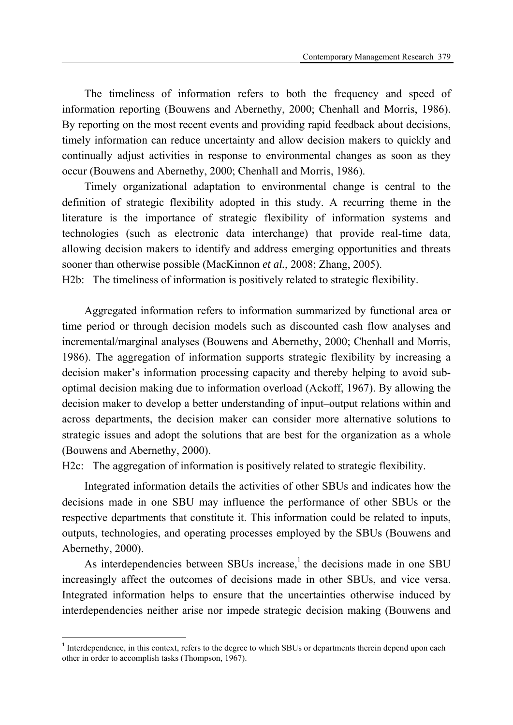The timeliness of information refers to both the frequency and speed of information reporting (Bouwens and Abernethy, 2000; Chenhall and Morris, 1986). By reporting on the most recent events and providing rapid feedback about decisions, timely information can reduce uncertainty and allow decision makers to quickly and continually adjust activities in response to environmental changes as soon as they occur (Bouwens and Abernethy, 2000; Chenhall and Morris, 1986).

Timely organizational adaptation to environmental change is central to the definition of strategic flexibility adopted in this study. A recurring theme in the literature is the importance of strategic flexibility of information systems and technologies (such as electronic data interchange) that provide real-time data, allowing decision makers to identify and address emerging opportunities and threats sooner than otherwise possible (MacKinnon *et al.*, 2008; Zhang, 2005).

H2b: The timeliness of information is positively related to strategic flexibility.

Aggregated information refers to information summarized by functional area or time period or through decision models such as discounted cash flow analyses and incremental/marginal analyses (Bouwens and Abernethy, 2000; Chenhall and Morris, 1986). The aggregation of information supports strategic flexibility by increasing a decision maker's information processing capacity and thereby helping to avoid suboptimal decision making due to information overload (Ackoff, 1967). By allowing the decision maker to develop a better understanding of input–output relations within and across departments, the decision maker can consider more alternative solutions to strategic issues and adopt the solutions that are best for the organization as a whole (Bouwens and Abernethy, 2000).

H2c: The aggregation of information is positively related to strategic flexibility.

Integrated information details the activities of other SBUs and indicates how the decisions made in one SBU may influence the performance of other SBUs or the respective departments that constitute it. This information could be related to inputs, outputs, technologies, and operating processes employed by the SBUs (Bouwens and Abernethy, 2000).

As interdependencies between SBUs increase, $<sup>1</sup>$  the decisions made in one SBU</sup> increasingly affect the outcomes of decisions made in other SBUs, and vice versa. Integrated information helps to ensure that the uncertainties otherwise induced by interdependencies neither arise nor impede strategic decision making (Bouwens and

**.** 

<sup>&</sup>lt;sup>1</sup> Interdependence, in this context, refers to the degree to which SBUs or departments therein depend upon each other in order to accomplish tasks (Thompson, 1967).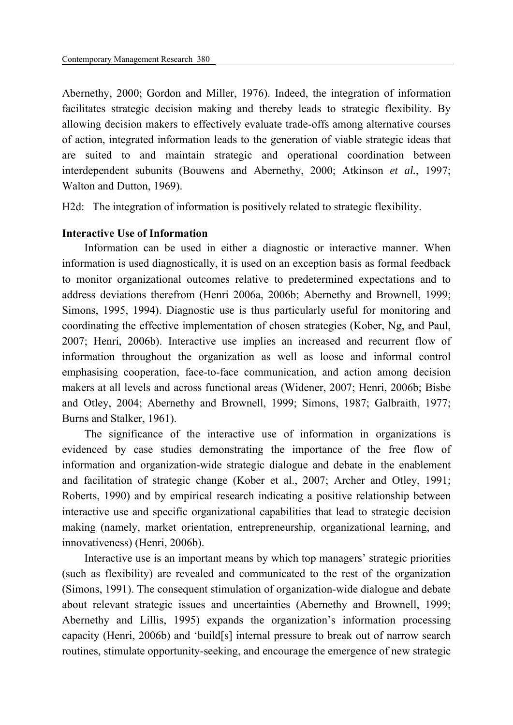Abernethy, 2000; Gordon and Miller, 1976). Indeed, the integration of information facilitates strategic decision making and thereby leads to strategic flexibility. By allowing decision makers to effectively evaluate trade-offs among alternative courses of action, integrated information leads to the generation of viable strategic ideas that are suited to and maintain strategic and operational coordination between interdependent subunits (Bouwens and Abernethy, 2000; Atkinson *et al.*, 1997; Walton and Dutton, 1969).

H2d: The integration of information is positively related to strategic flexibility.

### **Interactive Use of Information**

Information can be used in either a diagnostic or interactive manner. When information is used diagnostically, it is used on an exception basis as formal feedback to monitor organizational outcomes relative to predetermined expectations and to address deviations therefrom (Henri 2006a, 2006b; Abernethy and Brownell, 1999; Simons, 1995, 1994). Diagnostic use is thus particularly useful for monitoring and coordinating the effective implementation of chosen strategies (Kober, Ng, and Paul, 2007; Henri, 2006b). Interactive use implies an increased and recurrent flow of information throughout the organization as well as loose and informal control emphasising cooperation, face-to-face communication, and action among decision makers at all levels and across functional areas (Widener, 2007; Henri, 2006b; Bisbe and Otley, 2004; Abernethy and Brownell, 1999; Simons, 1987; Galbraith, 1977; Burns and Stalker, 1961).

The significance of the interactive use of information in organizations is evidenced by case studies demonstrating the importance of the free flow of information and organization-wide strategic dialogue and debate in the enablement and facilitation of strategic change (Kober et al., 2007; Archer and Otley, 1991; Roberts, 1990) and by empirical research indicating a positive relationship between interactive use and specific organizational capabilities that lead to strategic decision making (namely, market orientation, entrepreneurship, organizational learning, and innovativeness) (Henri, 2006b).

Interactive use is an important means by which top managers' strategic priorities (such as flexibility) are revealed and communicated to the rest of the organization (Simons, 1991). The consequent stimulation of organization-wide dialogue and debate about relevant strategic issues and uncertainties (Abernethy and Brownell, 1999; Abernethy and Lillis, 1995) expands the organization's information processing capacity (Henri, 2006b) and 'build[s] internal pressure to break out of narrow search routines, stimulate opportunity-seeking, and encourage the emergence of new strategic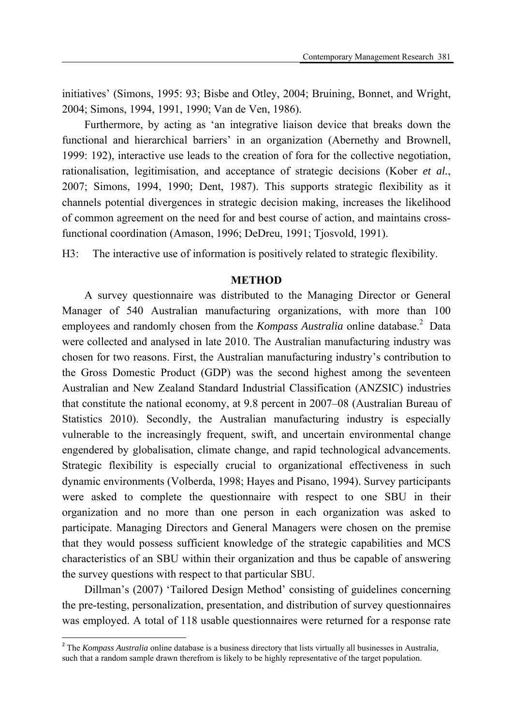initiatives' (Simons, 1995: 93; Bisbe and Otley, 2004; Bruining, Bonnet, and Wright, 2004; Simons, 1994, 1991, 1990; Van de Ven, 1986).

Furthermore, by acting as 'an integrative liaison device that breaks down the functional and hierarchical barriers' in an organization (Abernethy and Brownell, 1999: 192), interactive use leads to the creation of fora for the collective negotiation, rationalisation, legitimisation, and acceptance of strategic decisions (Kober *et al.*, 2007; Simons, 1994, 1990; Dent, 1987). This supports strategic flexibility as it channels potential divergences in strategic decision making, increases the likelihood of common agreement on the need for and best course of action, and maintains crossfunctional coordination (Amason, 1996; DeDreu, 1991; Tjosvold, 1991).

H3: The interactive use of information is positively related to strategic flexibility.

### **METHOD**

A survey questionnaire was distributed to the Managing Director or General Manager of 540 Australian manufacturing organizations, with more than 100 employees and randomly chosen from the *Kompass Australia* online database.<sup>2</sup> Data were collected and analysed in late 2010. The Australian manufacturing industry was chosen for two reasons. First, the Australian manufacturing industry's contribution to the Gross Domestic Product (GDP) was the second highest among the seventeen Australian and New Zealand Standard Industrial Classification (ANZSIC) industries that constitute the national economy, at 9.8 percent in 2007–08 (Australian Bureau of Statistics 2010). Secondly, the Australian manufacturing industry is especially vulnerable to the increasingly frequent, swift, and uncertain environmental change engendered by globalisation, climate change, and rapid technological advancements. Strategic flexibility is especially crucial to organizational effectiveness in such dynamic environments (Volberda, 1998; Hayes and Pisano, 1994). Survey participants were asked to complete the questionnaire with respect to one SBU in their organization and no more than one person in each organization was asked to participate. Managing Directors and General Managers were chosen on the premise that they would possess sufficient knowledge of the strategic capabilities and MCS characteristics of an SBU within their organization and thus be capable of answering the survey questions with respect to that particular SBU.

Dillman's (2007) 'Tailored Design Method' consisting of guidelines concerning the pre-testing, personalization, presentation, and distribution of survey questionnaires was employed. A total of 118 usable questionnaires were returned for a response rate

**.** 

<sup>&</sup>lt;sup>2</sup> The *Kompass Australia* online database is a business directory that lists virtually all businesses in Australia, such that a random sample drawn therefrom is likely to be highly representative of the target population.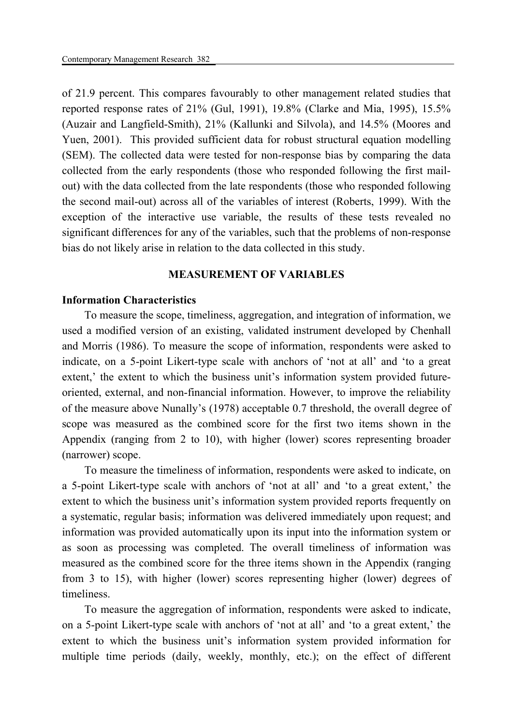of 21.9 percent. This compares favourably to other management related studies that reported response rates of 21% (Gul, 1991), 19.8% (Clarke and Mia, 1995), 15.5% (Auzair and Langfield-Smith), 21% (Kallunki and Silvola), and 14.5% (Moores and Yuen, 2001). This provided sufficient data for robust structural equation modelling (SEM). The collected data were tested for non-response bias by comparing the data collected from the early respondents (those who responded following the first mailout) with the data collected from the late respondents (those who responded following the second mail-out) across all of the variables of interest (Roberts, 1999). With the exception of the interactive use variable, the results of these tests revealed no significant differences for any of the variables, such that the problems of non-response bias do not likely arise in relation to the data collected in this study.

### **MEASUREMENT OF VARIABLES**

### **Information Characteristics**

To measure the scope, timeliness, aggregation, and integration of information, we used a modified version of an existing, validated instrument developed by Chenhall and Morris (1986). To measure the scope of information, respondents were asked to indicate, on a 5-point Likert-type scale with anchors of 'not at all' and 'to a great extent,' the extent to which the business unit's information system provided futureoriented, external, and non-financial information. However, to improve the reliability of the measure above Nunally's (1978) acceptable 0.7 threshold, the overall degree of scope was measured as the combined score for the first two items shown in the Appendix (ranging from 2 to 10), with higher (lower) scores representing broader (narrower) scope.

To measure the timeliness of information, respondents were asked to indicate, on a 5-point Likert-type scale with anchors of 'not at all' and 'to a great extent,' the extent to which the business unit's information system provided reports frequently on a systematic, regular basis; information was delivered immediately upon request; and information was provided automatically upon its input into the information system or as soon as processing was completed. The overall timeliness of information was measured as the combined score for the three items shown in the Appendix (ranging from 3 to 15), with higher (lower) scores representing higher (lower) degrees of timeliness.

To measure the aggregation of information, respondents were asked to indicate, on a 5-point Likert-type scale with anchors of 'not at all' and 'to a great extent,' the extent to which the business unit's information system provided information for multiple time periods (daily, weekly, monthly, etc.); on the effect of different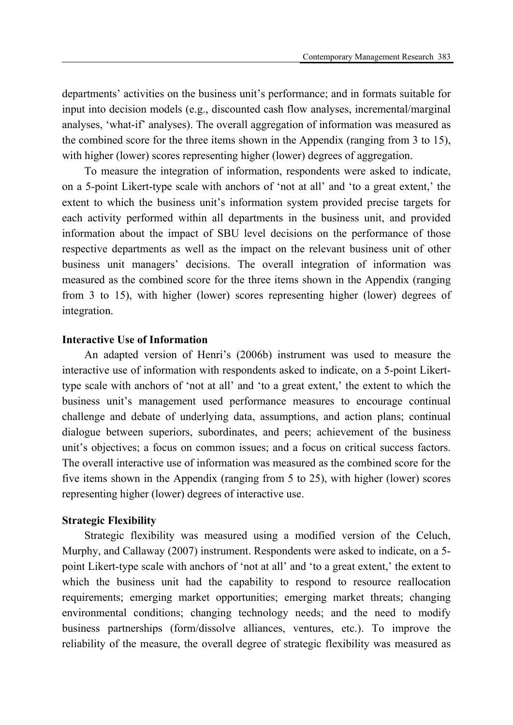departments' activities on the business unit's performance; and in formats suitable for input into decision models (e.g., discounted cash flow analyses, incremental/marginal analyses, 'what-if' analyses). The overall aggregation of information was measured as the combined score for the three items shown in the Appendix (ranging from 3 to 15), with higher (lower) scores representing higher (lower) degrees of aggregation.

To measure the integration of information, respondents were asked to indicate, on a 5-point Likert-type scale with anchors of 'not at all' and 'to a great extent,' the extent to which the business unit's information system provided precise targets for each activity performed within all departments in the business unit, and provided information about the impact of SBU level decisions on the performance of those respective departments as well as the impact on the relevant business unit of other business unit managers' decisions. The overall integration of information was measured as the combined score for the three items shown in the Appendix (ranging from 3 to 15), with higher (lower) scores representing higher (lower) degrees of integration.

# **Interactive Use of Information**

An adapted version of Henri's (2006b) instrument was used to measure the interactive use of information with respondents asked to indicate, on a 5-point Likerttype scale with anchors of 'not at all' and 'to a great extent,' the extent to which the business unit's management used performance measures to encourage continual challenge and debate of underlying data, assumptions, and action plans; continual dialogue between superiors, subordinates, and peers; achievement of the business unit's objectives; a focus on common issues; and a focus on critical success factors. The overall interactive use of information was measured as the combined score for the five items shown in the Appendix (ranging from 5 to 25), with higher (lower) scores representing higher (lower) degrees of interactive use.

#### **Strategic Flexibility**

Strategic flexibility was measured using a modified version of the Celuch, Murphy, and Callaway (2007) instrument. Respondents were asked to indicate, on a 5 point Likert-type scale with anchors of 'not at all' and 'to a great extent,' the extent to which the business unit had the capability to respond to resource reallocation requirements; emerging market opportunities; emerging market threats; changing environmental conditions; changing technology needs; and the need to modify business partnerships (form/dissolve alliances, ventures, etc.). To improve the reliability of the measure, the overall degree of strategic flexibility was measured as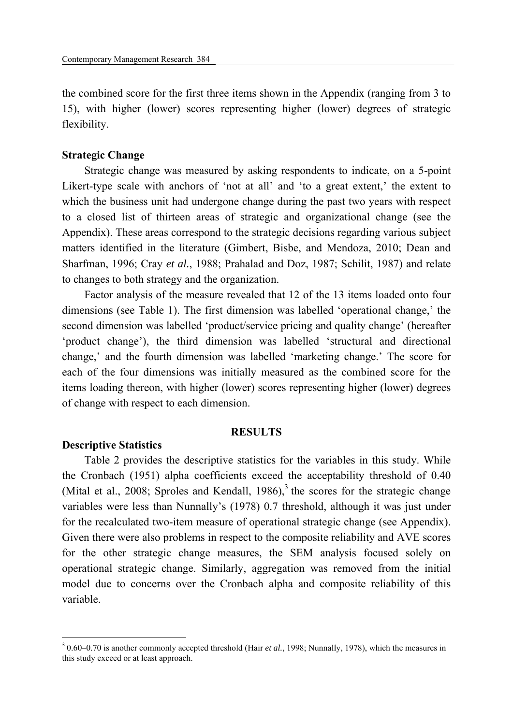the combined score for the first three items shown in the Appendix (ranging from 3 to 15), with higher (lower) scores representing higher (lower) degrees of strategic flexibility.

# **Strategic Change**

Strategic change was measured by asking respondents to indicate, on a 5-point Likert-type scale with anchors of 'not at all' and 'to a great extent,' the extent to which the business unit had undergone change during the past two years with respect to a closed list of thirteen areas of strategic and organizational change (see the Appendix). These areas correspond to the strategic decisions regarding various subject matters identified in the literature (Gimbert, Bisbe, and Mendoza, 2010; Dean and Sharfman, 1996; Cray *et al.*, 1988; Prahalad and Doz, 1987; Schilit, 1987) and relate to changes to both strategy and the organization.

Factor analysis of the measure revealed that 12 of the 13 items loaded onto four dimensions (see Table 1). The first dimension was labelled 'operational change,' the second dimension was labelled 'product/service pricing and quality change' (hereafter 'product change'), the third dimension was labelled 'structural and directional change,' and the fourth dimension was labelled 'marketing change.' The score for each of the four dimensions was initially measured as the combined score for the items loading thereon, with higher (lower) scores representing higher (lower) degrees of change with respect to each dimension.

#### **RESULTS**

#### **Descriptive Statistics**

**.** 

Table 2 provides the descriptive statistics for the variables in this study. While the Cronbach (1951) alpha coefficients exceed the acceptability threshold of 0.40 (Mital et al., 2008; Sproles and Kendall, 1986), $3$  the scores for the strategic change variables were less than Nunnally's (1978) 0.7 threshold, although it was just under for the recalculated two-item measure of operational strategic change (see Appendix). Given there were also problems in respect to the composite reliability and AVE scores for the other strategic change measures, the SEM analysis focused solely on operational strategic change. Similarly, aggregation was removed from the initial model due to concerns over the Cronbach alpha and composite reliability of this variable.

<sup>3</sup> 0.60–0.70 is another commonly accepted threshold (Hair *et al.*, 1998; Nunnally, 1978), which the measures in this study exceed or at least approach.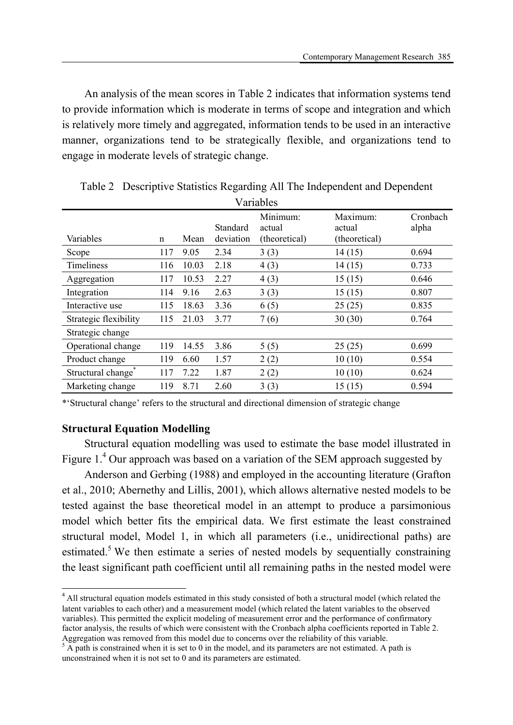An analysis of the mean scores in Table 2 indicates that information systems tend to provide information which is moderate in terms of scope and integration and which is relatively more timely and aggregated, information tends to be used in an interactive manner, organizations tend to be strategically flexible, and organizations tend to engage in moderate levels of strategic change.

| Variables             |             |       |                       |                                     |                                     |                   |  |  |  |
|-----------------------|-------------|-------|-----------------------|-------------------------------------|-------------------------------------|-------------------|--|--|--|
| Variables             | $\mathbf n$ | Mean  | Standard<br>deviation | Minimum:<br>actual<br>(theoretical) | Maximum:<br>actual<br>(theoretical) | Cronbach<br>alpha |  |  |  |
| Scope                 | 117         | 9.05  | 2.34                  | 3(3)                                | 14(15)                              | 0.694             |  |  |  |
| <b>Timeliness</b>     | 116         | 10.03 | 2.18                  | 4(3)                                | 14(15)                              | 0.733             |  |  |  |
| Aggregation           | 117         | 10.53 | 2.27                  | 4(3)                                | 15(15)                              | 0.646             |  |  |  |
| Integration           | 114         | 9.16  | 2.63                  | 3(3)                                | 15(15)                              | 0.807             |  |  |  |
| Interactive use       | 115         | 18.63 | 3.36                  | 6(5)                                | 25(25)                              | 0.835             |  |  |  |
| Strategic flexibility | 115         | 21.03 | 3.77                  | 7(6)                                | 30(30)                              | 0.764             |  |  |  |
| Strategic change      |             |       |                       |                                     |                                     |                   |  |  |  |
| Operational change    | 119         | 14.55 | 3.86                  | 5(5)                                | 25(25)                              | 0.699             |  |  |  |
| Product change        | 119         | 6.60  | 1.57                  | 2(2)                                | 10(10)                              | 0.554             |  |  |  |
| Structural change*    | 117         | 7.22  | 1.87                  | 2(2)                                | 10(10)                              | 0.624             |  |  |  |
| Marketing change      | 119         | 8.71  | 2.60                  | 3(3)                                | 15(15)                              | 0.594             |  |  |  |

Table 2 Descriptive Statistics Regarding All The Independent and Dependent

\*'Structural change' refers to the structural and directional dimension of strategic change

# **Structural Equation Modelling**

**.** 

Structural equation modelling was used to estimate the base model illustrated in Figure  $1<sup>4</sup>$  Our approach was based on a variation of the SEM approach suggested by

Anderson and Gerbing (1988) and employed in the accounting literature (Grafton et al., 2010; Abernethy and Lillis, 2001), which allows alternative nested models to be tested against the base theoretical model in an attempt to produce a parsimonious model which better fits the empirical data. We first estimate the least constrained structural model, Model 1, in which all parameters (i.e., unidirectional paths) are estimated.<sup>5</sup> We then estimate a series of nested models by sequentially constraining the least significant path coefficient until all remaining paths in the nested model were

<sup>&</sup>lt;sup>4</sup> All structural equation models estimated in this study consisted of both a structural model (which related the latent variables to each other) and a measurement model (which related the latent variables to the observed variables). This permitted the explicit modeling of measurement error and the performance of confirmatory factor analysis, the results of which were consistent with the Cronbach alpha coefficients reported in Table 2. Aggregation was removed from this model due to concerns over the reliability of this variable. 5

 $\overline{A}$  A path is constrained when it is set to 0 in the model, and its parameters are not estimated. A path is unconstrained when it is not set to 0 and its parameters are estimated.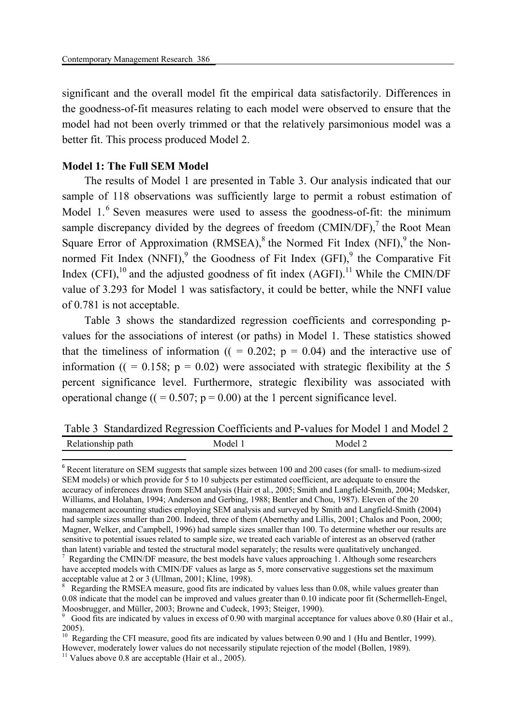significant and the overall model fit the empirical data satisfactorily. Differences in the goodness-of-fit measures relating to each model were observed to ensure that the model had not been overly trimmed or that the relatively parsimonious model was a better fit. This process produced Model 2.

# **Model 1: The Full SEM Model**

The results of Model 1 are presented in Table 3. Our analysis indicated that our sample of 118 observations was sufficiently large to permit a robust estimation of Model  $1.^6$  Seven measures were used to assess the goodness-of-fit: the minimum sample discrepancy divided by the degrees of freedom  $(CMIN/DF)$ , the Root Mean Square Error of Approximation (RMSEA), $^8$  the Normed Fit Index (NFI), $^9$  the Nonnormed Fit Index (NNFI),<sup>9</sup> the Goodness of Fit Index (GFI),<sup>9</sup> the Comparative Fit Index  $(CFI)$ ,<sup>10</sup> and the adjusted goodness of fit index  $(AGFI)$ .<sup>11</sup> While the CMIN/DF value of 3.293 for Model 1 was satisfactory, it could be better, while the NNFI value of 0.781 is not acceptable.

Table 3 shows the standardized regression coefficients and corresponding pvalues for the associations of interest (or paths) in Model 1. These statistics showed that the timeliness of information ( $($  = 0.202;  $p = 0.04$ ) and the interactive use of information ( $( = 0.158; p = 0.02)$  were associated with strategic flexibility at the 5 percent significance level. Furthermore, strategic flexibility was associated with operational change  $((= 0.507; p = 0.00)$  at the 1 percent significance level.

Table 3 Standardized Regression Coefficients and P-values for Model 1 and Model 2 Relationship path Model 1 Model 2

**.** 

<sup>&</sup>lt;sup>6</sup> Recent literature on SEM suggests that sample sizes between 100 and 200 cases (for small- to medium-sized SEM models) or which provide for 5 to 10 subjects per estimated coefficient, are adequate to ensure the accuracy of inferences drawn from SEM analysis (Hair et al., 2005; Smith and Langfield-Smith, 2004; Medsker, Williams, and Holahan, 1994; Anderson and Gerbing, 1988; Bentler and Chou, 1987). Eleven of the 20 management accounting studies employing SEM analysis and surveyed by Smith and Langfield-Smith (2004) had sample sizes smaller than 200. Indeed, three of them (Abernethy and Lillis, 2001; Chalos and Poon, 2000; Magner, Welker, and Campbell, 1996) had sample sizes smaller than 100. To determine whether our results are sensitive to potential issues related to sample size, we treated each variable of interest as an observed (rather than latent) variable and tested the structural model separately; the results were qualitatively unchanged. 7

Regarding the CMIN/DF measure, the best models have values approaching 1. Although some researchers have accepted models with CMIN/DF values as large as 5, more conservative suggestions set the maximum acceptable value at 2 or 3 (Ullman, 2001; Kline, 1998).

<sup>&</sup>lt;sup>8</sup> Regarding the RMSEA measure, good fits are indicated by values less than 0.08, while values greater than 0.08 indicate that the model can be improved and values greater than 0.10 indicate poor fit (Schermelleh-Engel, Moosbrugger, and Müller, 2003; Browne and Cudeck, 1993; Steiger, 1990).

<sup>&</sup>lt;sup>9</sup> Good fits are indicated by values in excess of 0.90 with marginal acceptance for values above 0.80 (Hair et al., 2005).

<sup>&</sup>lt;sup>10</sup> Regarding the CFI measure, good fits are indicated by values between 0.90 and 1 (Hu and Bentler, 1999). However, moderately lower values do not necessarily stipulate rejection of the model (Bollen, 1989).<br><sup>11</sup> Values above 0.8 are acceptable (Hair et al., 2005).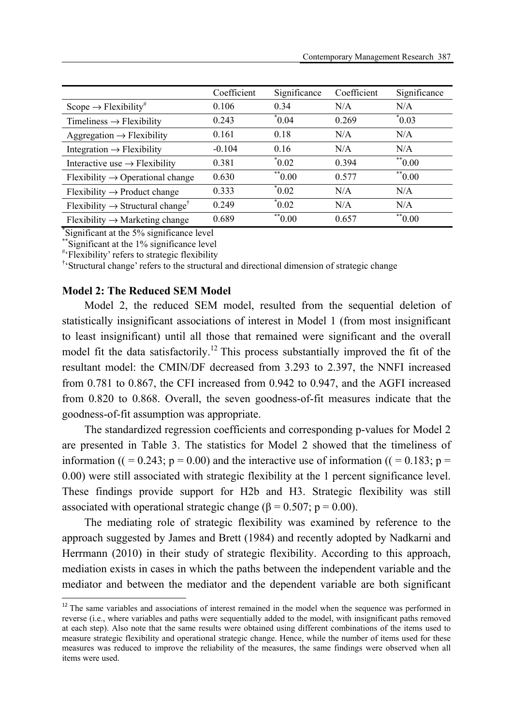|                                                          | Coefficient | Significance           | Coefficient | Significance          |
|----------------------------------------------------------|-------------|------------------------|-------------|-----------------------|
| Scope $\rightarrow$ Flexibility <sup>#</sup>             | 0.106       | 0.34                   | N/A         | N/A                   |
| Timeliness $\rightarrow$ Flexibility                     | 0.243       | $*0.04$                | 0.269       | $\degree 0.03$        |
| Aggregation $\rightarrow$ Flexibility                    | 0.161       | 0.18                   | N/A         | N/A                   |
| Integration $\rightarrow$ Flexibility                    | $-0.104$    | 0.16                   | N/A         | N/A                   |
| Interactive use $\rightarrow$ Flexibility                | 0.381       | $^*0.02$               | 0.394       | $*$ <sup>*</sup> 0.00 |
| $Flexibility \rightarrow Operational change$             | 0.630       | $*$ <sup>**</sup> 0.00 | 0.577       | $*$ <sup>0.00</sup>   |
| $Flexibility \rightarrow Product change$                 | 0.333       | $^*0.02$               | N/A         | N/A                   |
| Flexibility $\rightarrow$ Structural change <sup>†</sup> | 0.249       | $*0.02$                | N/A         | N/A                   |
| $F$ lexibility $\rightarrow$ Marketing change            | 0.689       | $*$ <sup>**</sup> 0.00 | 0.657       | $*$ <sup>*</sup> 0.00 |

\* Significant at the 5% significance level

\*\*Significant at the 1% significance level

# 'Flexibility' refers to strategic flexibility

† 'Structural change' refers to the structural and directional dimension of strategic change

### **Model 2: The Reduced SEM Model**

1

Model 2, the reduced SEM model, resulted from the sequential deletion of statistically insignificant associations of interest in Model 1 (from most insignificant to least insignificant) until all those that remained were significant and the overall model fit the data satisfactorily.<sup>12</sup> This process substantially improved the fit of the resultant model: the CMIN/DF decreased from 3.293 to 2.397, the NNFI increased from 0.781 to 0.867, the CFI increased from 0.942 to 0.947, and the AGFI increased from 0.820 to 0.868. Overall, the seven goodness-of-fit measures indicate that the goodness-of-fit assumption was appropriate.

The standardized regression coefficients and corresponding p-values for Model 2 are presented in Table 3. The statistics for Model 2 showed that the timeliness of information (( = 0.243;  $p = 0.00$ ) and the interactive use of information (( = 0.183;  $p =$ 0.00) were still associated with strategic flexibility at the 1 percent significance level. These findings provide support for H2b and H3. Strategic flexibility was still associated with operational strategic change ( $\beta = 0.507$ ; p = 0.00).

The mediating role of strategic flexibility was examined by reference to the approach suggested by James and Brett (1984) and recently adopted by Nadkarni and Herrmann (2010) in their study of strategic flexibility. According to this approach, mediation exists in cases in which the paths between the independent variable and the mediator and between the mediator and the dependent variable are both significant

 $12$  The same variables and associations of interest remained in the model when the sequence was performed in reverse (i.e., where variables and paths were sequentially added to the model, with insignificant paths removed at each step). Also note that the same results were obtained using different combinations of the items used to measure strategic flexibility and operational strategic change. Hence, while the number of items used for these measures was reduced to improve the reliability of the measures, the same findings were observed when all items were used.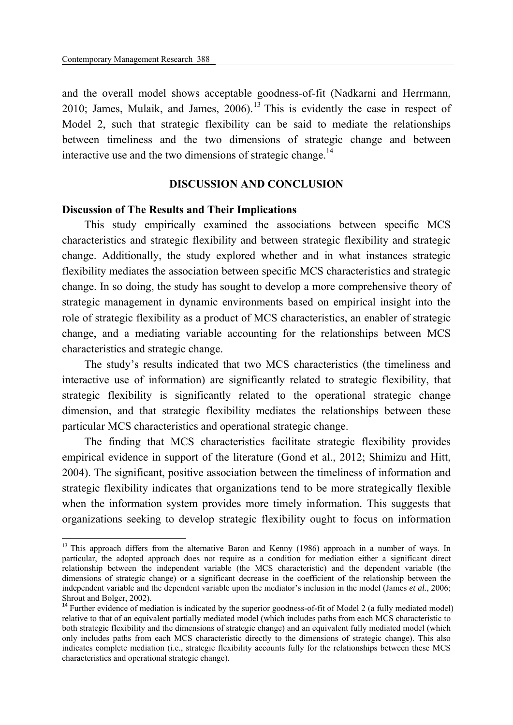1

and the overall model shows acceptable goodness-of-fit (Nadkarni and Herrmann, 2010; James, Mulaik, and James,  $2006$ .<sup>13</sup> This is evidently the case in respect of Model 2, such that strategic flexibility can be said to mediate the relationships between timeliness and the two dimensions of strategic change and between interactive use and the two dimensions of strategic change.<sup>14</sup>

### **DISCUSSION AND CONCLUSION**

### **Discussion of The Results and Their Implications**

This study empirically examined the associations between specific MCS characteristics and strategic flexibility and between strategic flexibility and strategic change. Additionally, the study explored whether and in what instances strategic flexibility mediates the association between specific MCS characteristics and strategic change. In so doing, the study has sought to develop a more comprehensive theory of strategic management in dynamic environments based on empirical insight into the role of strategic flexibility as a product of MCS characteristics, an enabler of strategic change, and a mediating variable accounting for the relationships between MCS characteristics and strategic change.

The study's results indicated that two MCS characteristics (the timeliness and interactive use of information) are significantly related to strategic flexibility, that strategic flexibility is significantly related to the operational strategic change dimension, and that strategic flexibility mediates the relationships between these particular MCS characteristics and operational strategic change.

The finding that MCS characteristics facilitate strategic flexibility provides empirical evidence in support of the literature (Gond et al., 2012; Shimizu and Hitt, 2004). The significant, positive association between the timeliness of information and strategic flexibility indicates that organizations tend to be more strategically flexible when the information system provides more timely information. This suggests that organizations seeking to develop strategic flexibility ought to focus on information

<sup>&</sup>lt;sup>13</sup> This approach differs from the alternative Baron and Kenny (1986) approach in a number of ways. In particular, the adopted approach does not require as a condition for mediation either a significant direct relationship between the independent variable (the MCS characteristic) and the dependent variable (the dimensions of strategic change) or a significant decrease in the coefficient of the relationship between the independent variable and the dependent variable upon the mediator's inclusion in the model (James *et al.*, 2006; Shrout and Bolger, 2002).

<sup>&</sup>lt;sup>14</sup> Further evidence of mediation is indicated by the superior goodness-of-fit of Model 2 (a fully mediated model) relative to that of an equivalent partially mediated model (which includes paths from each MCS characteristic to both strategic flexibility and the dimensions of strategic change) and an equivalent fully mediated model (which only includes paths from each MCS characteristic directly to the dimensions of strategic change). This also indicates complete mediation (i.e., strategic flexibility accounts fully for the relationships between these MCS characteristics and operational strategic change).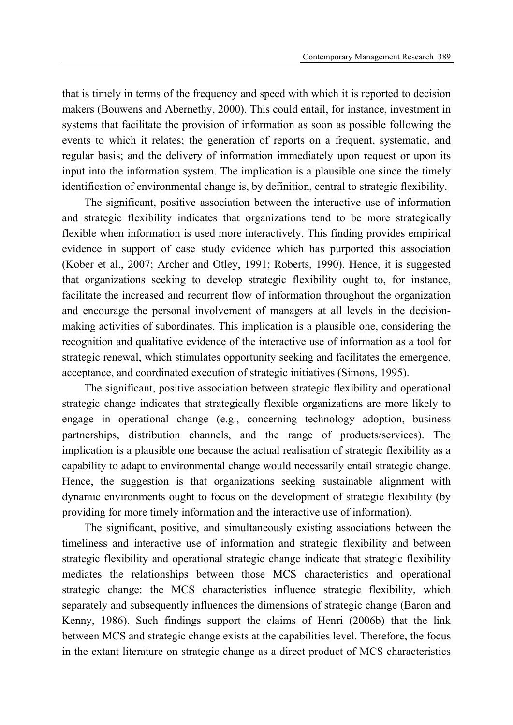that is timely in terms of the frequency and speed with which it is reported to decision makers (Bouwens and Abernethy, 2000). This could entail, for instance, investment in systems that facilitate the provision of information as soon as possible following the events to which it relates; the generation of reports on a frequent, systematic, and regular basis; and the delivery of information immediately upon request or upon its input into the information system. The implication is a plausible one since the timely identification of environmental change is, by definition, central to strategic flexibility.

The significant, positive association between the interactive use of information and strategic flexibility indicates that organizations tend to be more strategically flexible when information is used more interactively. This finding provides empirical evidence in support of case study evidence which has purported this association (Kober et al., 2007; Archer and Otley, 1991; Roberts, 1990). Hence, it is suggested that organizations seeking to develop strategic flexibility ought to, for instance, facilitate the increased and recurrent flow of information throughout the organization and encourage the personal involvement of managers at all levels in the decisionmaking activities of subordinates. This implication is a plausible one, considering the recognition and qualitative evidence of the interactive use of information as a tool for strategic renewal, which stimulates opportunity seeking and facilitates the emergence, acceptance, and coordinated execution of strategic initiatives (Simons, 1995).

The significant, positive association between strategic flexibility and operational strategic change indicates that strategically flexible organizations are more likely to engage in operational change (e.g., concerning technology adoption, business partnerships, distribution channels, and the range of products/services). The implication is a plausible one because the actual realisation of strategic flexibility as a capability to adapt to environmental change would necessarily entail strategic change. Hence, the suggestion is that organizations seeking sustainable alignment with dynamic environments ought to focus on the development of strategic flexibility (by providing for more timely information and the interactive use of information).

The significant, positive, and simultaneously existing associations between the timeliness and interactive use of information and strategic flexibility and between strategic flexibility and operational strategic change indicate that strategic flexibility mediates the relationships between those MCS characteristics and operational strategic change: the MCS characteristics influence strategic flexibility, which separately and subsequently influences the dimensions of strategic change (Baron and Kenny, 1986). Such findings support the claims of Henri (2006b) that the link between MCS and strategic change exists at the capabilities level. Therefore, the focus in the extant literature on strategic change as a direct product of MCS characteristics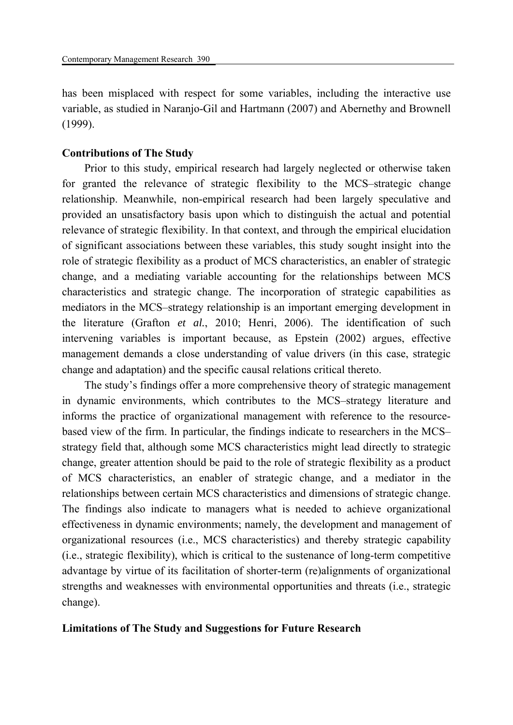has been misplaced with respect for some variables, including the interactive use variable, as studied in Naranjo-Gil and Hartmann (2007) and Abernethy and Brownell (1999).

### **Contributions of The Study**

Prior to this study, empirical research had largely neglected or otherwise taken for granted the relevance of strategic flexibility to the MCS–strategic change relationship. Meanwhile, non-empirical research had been largely speculative and provided an unsatisfactory basis upon which to distinguish the actual and potential relevance of strategic flexibility. In that context, and through the empirical elucidation of significant associations between these variables, this study sought insight into the role of strategic flexibility as a product of MCS characteristics, an enabler of strategic change, and a mediating variable accounting for the relationships between MCS characteristics and strategic change. The incorporation of strategic capabilities as mediators in the MCS–strategy relationship is an important emerging development in the literature (Grafton *et al.*, 2010; Henri, 2006). The identification of such intervening variables is important because, as Epstein (2002) argues, effective management demands a close understanding of value drivers (in this case, strategic change and adaptation) and the specific causal relations critical thereto.

The study's findings offer a more comprehensive theory of strategic management in dynamic environments, which contributes to the MCS–strategy literature and informs the practice of organizational management with reference to the resourcebased view of the firm. In particular, the findings indicate to researchers in the MCS– strategy field that, although some MCS characteristics might lead directly to strategic change, greater attention should be paid to the role of strategic flexibility as a product of MCS characteristics, an enabler of strategic change, and a mediator in the relationships between certain MCS characteristics and dimensions of strategic change. The findings also indicate to managers what is needed to achieve organizational effectiveness in dynamic environments; namely, the development and management of organizational resources (i.e., MCS characteristics) and thereby strategic capability (i.e., strategic flexibility), which is critical to the sustenance of long-term competitive advantage by virtue of its facilitation of shorter-term (re)alignments of organizational strengths and weaknesses with environmental opportunities and threats (i.e., strategic change).

### **Limitations of The Study and Suggestions for Future Research**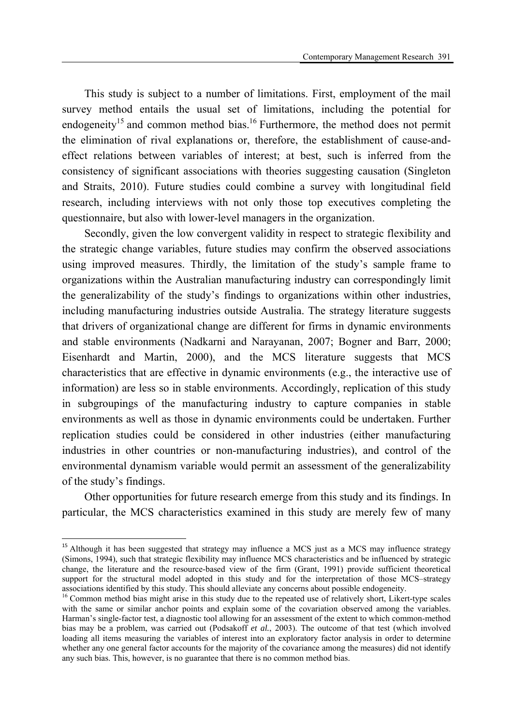This study is subject to a number of limitations. First, employment of the mail survey method entails the usual set of limitations, including the potential for endogeneity<sup>15</sup> and common method bias.<sup>16</sup> Furthermore, the method does not permit the elimination of rival explanations or, therefore, the establishment of cause-andeffect relations between variables of interest; at best, such is inferred from the consistency of significant associations with theories suggesting causation (Singleton and Straits, 2010). Future studies could combine a survey with longitudinal field research, including interviews with not only those top executives completing the questionnaire, but also with lower-level managers in the organization.

Secondly, given the low convergent validity in respect to strategic flexibility and the strategic change variables, future studies may confirm the observed associations using improved measures. Thirdly, the limitation of the study's sample frame to organizations within the Australian manufacturing industry can correspondingly limit the generalizability of the study's findings to organizations within other industries, including manufacturing industries outside Australia. The strategy literature suggests that drivers of organizational change are different for firms in dynamic environments and stable environments (Nadkarni and Narayanan, 2007; Bogner and Barr, 2000; Eisenhardt and Martin, 2000), and the MCS literature suggests that MCS characteristics that are effective in dynamic environments (e.g., the interactive use of information) are less so in stable environments. Accordingly, replication of this study in subgroupings of the manufacturing industry to capture companies in stable environments as well as those in dynamic environments could be undertaken. Further replication studies could be considered in other industries (either manufacturing industries in other countries or non-manufacturing industries), and control of the environmental dynamism variable would permit an assessment of the generalizability of the study's findings.

Other opportunities for future research emerge from this study and its findings. In particular, the MCS characteristics examined in this study are merely few of many

1

<sup>&</sup>lt;sup>15</sup> Although it has been suggested that strategy may influence a MCS just as a MCS may influence strategy (Simons, 1994), such that strategic flexibility may influence MCS characteristics and be influenced by strategic change, the literature and the resource-based view of the firm (Grant, 1991) provide sufficient theoretical support for the structural model adopted in this study and for the interpretation of those MCS–strategy associations identified by this study. This should alleviate any concerns about possible endogeneity.

<sup>&</sup>lt;sup>16</sup> Common method bias might arise in this study due to the repeated use of relatively short, Likert-type scales with the same or similar anchor points and explain some of the covariation observed among the variables. Harman's single-factor test, a diagnostic tool allowing for an assessment of the extent to which common-method bias may be a problem, was carried out (Podsakoff *et al.*, 2003). The outcome of that test (which involved loading all items measuring the variables of interest into an exploratory factor analysis in order to determine whether any one general factor accounts for the majority of the covariance among the measures) did not identify any such bias. This, however, is no guarantee that there is no common method bias.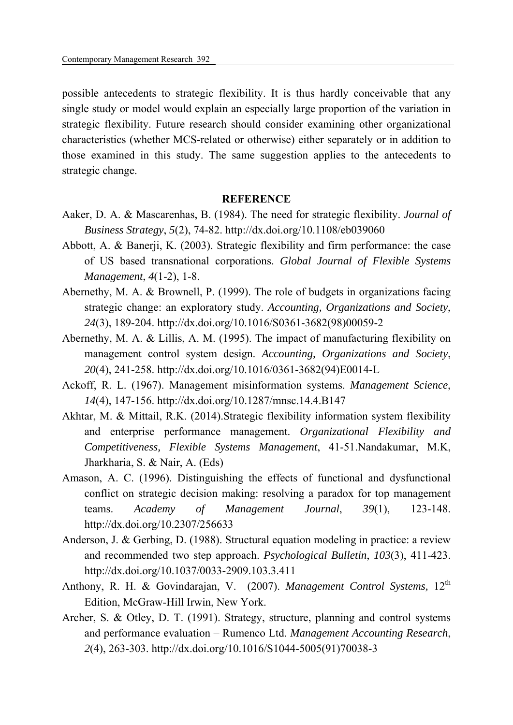possible antecedents to strategic flexibility. It is thus hardly conceivable that any single study or model would explain an especially large proportion of the variation in strategic flexibility. Future research should consider examining other organizational characteristics (whether MCS-related or otherwise) either separately or in addition to those examined in this study. The same suggestion applies to the antecedents to strategic change.

# **REFERENCE**

- Aaker, D. A. & Mascarenhas, B. (1984). The need for strategic flexibility. *Journal of Business Strategy*, *5*(2), 74-82. http://dx.doi.org/10.1108/eb039060
- Abbott, A. & Banerji, K. (2003). Strategic flexibility and firm performance: the case of US based transnational corporations. *Global Journal of Flexible Systems Management*, *4*(1-2), 1-8.
- Abernethy, M. A. & Brownell, P. (1999). The role of budgets in organizations facing strategic change: an exploratory study. *Accounting, Organizations and Society*, *24*(3), 189-204. http://dx.doi.org/10.1016/S0361-3682(98)00059-2
- Abernethy, M. A. & Lillis, A. M. (1995). The impact of manufacturing flexibility on management control system design. *Accounting, Organizations and Society*, *20*(4), 241-258. http://dx.doi.org/10.1016/0361-3682(94)E0014-L
- Ackoff, R. L. (1967). Management misinformation systems. *Management Science*, *14*(4), 147-156. http://dx.doi.org/10.1287/mnsc.14.4.B147
- Akhtar, M. & Mittail, R.K. (2014).Strategic flexibility information system flexibility and enterprise performance management. *Organizational Flexibility and Competitiveness, Flexible Systems Management*, 41-51.Nandakumar, M.K, Jharkharia, S. & Nair, A. (Eds)
- Amason, A. C. (1996). Distinguishing the effects of functional and dysfunctional conflict on strategic decision making: resolving a paradox for top management teams. *Academy of Management Journal*, *39*(1), 123-148. http://dx.doi.org/10.2307/256633
- Anderson, J. & Gerbing, D. (1988). Structural equation modeling in practice: a review and recommended two step approach. *Psychological Bulletin*, *103*(3), 411-423. http://dx.doi.org/10.1037/0033-2909.103.3.411
- Anthony, R. H. & Govindarajan, V. (2007). *Management Control Systems*, 12<sup>th</sup> Edition, McGraw-Hill Irwin, New York.
- Archer, S. & Otley, D. T. (1991). Strategy, structure, planning and control systems and performance evaluation – Rumenco Ltd. *Management Accounting Research*, *2*(4), 263-303. http://dx.doi.org/10.1016/S1044-5005(91)70038-3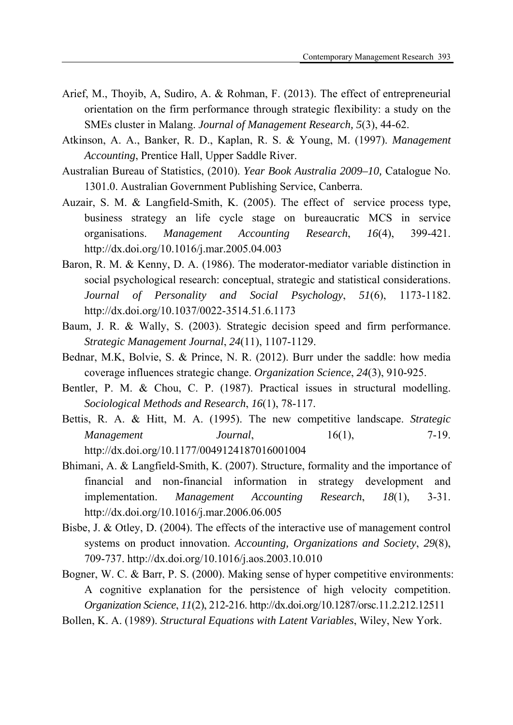- Arief, M., Thoyib, A, Sudiro, A. & Rohman, F. (2013). The effect of entrepreneurial orientation on the firm performance through strategic flexibility: a study on the SMEs cluster in Malang. *Journal of Management Research, 5*(3), 44-62.
- Atkinson, A. A., Banker, R. D., Kaplan, R. S. & Young, M. (1997). *Management Accounting*, Prentice Hall, Upper Saddle River.
- Australian Bureau of Statistics, (2010). *Year Book Australia 2009–10,* Catalogue No. 1301.0. Australian Government Publishing Service, Canberra.
- Auzair, S. M. & Langfield-Smith, K. (2005). The effect of service process type, business strategy an life cycle stage on bureaucratic MCS in service organisations. *Management Accounting Research*, *16*(4), 399-421. http://dx.doi.org/10.1016/j.mar.2005.04.003
- Baron, R. M. & Kenny, D. A. (1986). The moderator-mediator variable distinction in social psychological research: conceptual, strategic and statistical considerations. *Journal of Personality and Social Psychology*, *51*(6), 1173-1182. http://dx.doi.org/10.1037/0022-3514.51.6.1173
- Baum, J. R. & Wally, S. (2003). Strategic decision speed and firm performance. *Strategic Management Journal*, *24*(11), 1107-1129.
- Bednar, M.K, Bolvie, S. & Prince, N. R. (2012). Burr under the saddle: how media coverage influences strategic change. *Organization Science*, *24*(3), 910-925.
- Bentler, P. M. & Chou, C. P. (1987). Practical issues in structural modelling. *Sociological Methods and Research*, *16*(1), 78-117.
- Bettis, R. A. & Hitt, M. A. (1995). The new competitive landscape. *Strategic Management Journal*, 16(1), 7-19. http://dx.doi.org/10.1177/0049124187016001004
- Bhimani, A. & Langfield-Smith, K. (2007). Structure, formality and the importance of financial and non-financial information in strategy development and implementation. *Management Accounting Research*, *18*(1), 3-31. http://dx.doi.org/10.1016/j.mar.2006.06.005
- Bisbe, J. & Otley, D. (2004). The effects of the interactive use of management control systems on product innovation. *Accounting, Organizations and Society*, *29*(8), 709-737. http://dx.doi.org/10.1016/j.aos.2003.10.010
- Bogner, W. C. & Barr, P. S. (2000). Making sense of hyper competitive environments: A cognitive explanation for the persistence of high velocity competition. *Organization Science*, *11*(2), 212-216. http://dx.doi.org/10.1287/orsc.11.2.212.12511
- Bollen, K. A. (1989). *Structural Equations with Latent Variables*, Wiley, New York.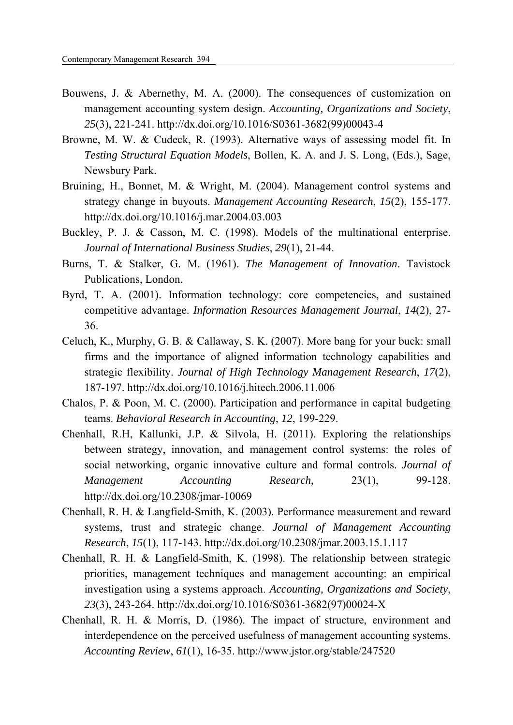- Bouwens, J. & Abernethy, M. A. (2000). The consequences of customization on management accounting system design. *Accounting, Organizations and Society*, *25*(3), 221-241. http://dx.doi.org/10.1016/S0361-3682(99)00043-4
- Browne, M. W. & Cudeck, R. (1993). Alternative ways of assessing model fit. In *Testing Structural Equation Models*, Bollen, K. A. and J. S. Long, (Eds.), Sage, Newsbury Park.
- Bruining, H., Bonnet, M. & Wright, M. (2004). Management control systems and strategy change in buyouts. *Management Accounting Research*, *15*(2), 155-177. http://dx.doi.org/10.1016/j.mar.2004.03.003
- Buckley, P. J. & Casson, M. C. (1998). Models of the multinational enterprise. *Journal of International Business Studies*, *29*(1), 21-44.
- Burns, T. & Stalker, G. M. (1961). *The Management of Innovation*. Tavistock Publications, London.
- Byrd, T. A. (2001). Information technology: core competencies, and sustained competitive advantage. *Information Resources Management Journal*, *14*(2), 27- 36.
- Celuch, K., Murphy, G. B. & Callaway, S. K. (2007). More bang for your buck: small firms and the importance of aligned information technology capabilities and strategic flexibility. *Journal of High Technology Management Research*, *17*(2), 187-197. http://dx.doi.org/10.1016/j.hitech.2006.11.006
- Chalos, P. & Poon, M. C. (2000). Participation and performance in capital budgeting teams. *Behavioral Research in Accounting*, *12*, 199-229.
- Chenhall, R.H, Kallunki, J.P. & Silvola, H. (2011). Exploring the relationships between strategy, innovation, and management control systems: the roles of social networking, organic innovative culture and formal controls. *Journal of Management Accounting Research,* 23(1), 99-128. http://dx.doi.org/10.2308/jmar-10069
- Chenhall, R. H. & Langfield-Smith, K. (2003). Performance measurement and reward systems, trust and strategic change. *Journal of Management Accounting Research*, *15*(1), 117-143. http://dx.doi.org/10.2308/jmar.2003.15.1.117
- Chenhall, R. H. & Langfield-Smith, K. (1998). The relationship between strategic priorities, management techniques and management accounting: an empirical investigation using a systems approach. *Accounting, Organizations and Society*, *23*(3), 243-264. http://dx.doi.org/10.1016/S0361-3682(97)00024-X
- Chenhall, R. H. & Morris, D. (1986). The impact of structure, environment and interdependence on the perceived usefulness of management accounting systems. *Accounting Review*, *61*(1), 16-35. http://www.jstor.org/stable/247520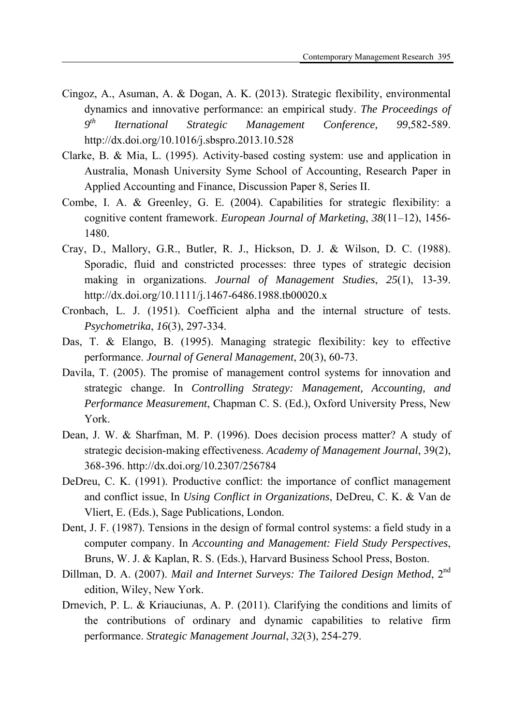- Cingoz, A., Asuman, A. & Dogan, A. K. (2013). Strategic flexibility, environmental dynamics and innovative performance: an empirical study. *The Proceedings of 9th Iternational Strategic Management Conference, 99*,582-589. http://dx.doi.org/10.1016/j.sbspro.2013.10.528
- Clarke, B. & Mia, L. (1995). Activity-based costing system: use and application in Australia, Monash University Syme School of Accounting, Research Paper in Applied Accounting and Finance, Discussion Paper 8, Series II.
- Combe, I. A. & Greenley, G. E. (2004). Capabilities for strategic flexibility: a cognitive content framework. *European Journal of Marketing*, *38*(11–12), 1456- 1480.
- Cray, D., Mallory, G.R., Butler, R. J., Hickson, D. J. & Wilson, D. C. (1988). Sporadic, fluid and constricted processes: three types of strategic decision making in organizations. *Journal of Management Studies*, *25*(1), 13-39. http://dx.doi.org/10.1111/j.1467-6486.1988.tb00020.x
- Cronbach, L. J. (1951). Coefficient alpha and the internal structure of tests. *Psychometrika*, *16*(3), 297-334.
- Das, T. & Elango, B. (1995). Managing strategic flexibility: key to effective performance. *Journal of General Management*, 20(3), 60-73.
- Davila, T. (2005). The promise of management control systems for innovation and strategic change. In *Controlling Strategy: Management, Accounting, and Performance Measurement*, Chapman C. S. (Ed.), Oxford University Press, New York.
- Dean, J. W. & Sharfman, M. P. (1996). Does decision process matter? A study of strategic decision-making effectiveness. *Academy of Management Journal*, 39(2), 368-396. http://dx.doi.org/10.2307/256784
- DeDreu, C. K. (1991). Productive conflict: the importance of conflict management and conflict issue, In *Using Conflict in Organizations*, DeDreu, C. K. & Van de Vliert, E. (Eds.), Sage Publications, London.
- Dent, J. F. (1987). Tensions in the design of formal control systems: a field study in a computer company. In *Accounting and Management: Field Study Perspectives*, Bruns, W. J. & Kaplan, R. S. (Eds.), Harvard Business School Press, Boston.
- Dillman, D. A. (2007). *Mail and Internet Surveys: The Tailored Design Method*, 2<sup>nd</sup> edition, Wiley, New York.
- Drnevich, P. L. & Kriauciunas, A. P. (2011). Clarifying the conditions and limits of the contributions of ordinary and dynamic capabilities to relative firm performance. *Strategic Management Journal*, *32*(3), 254-279.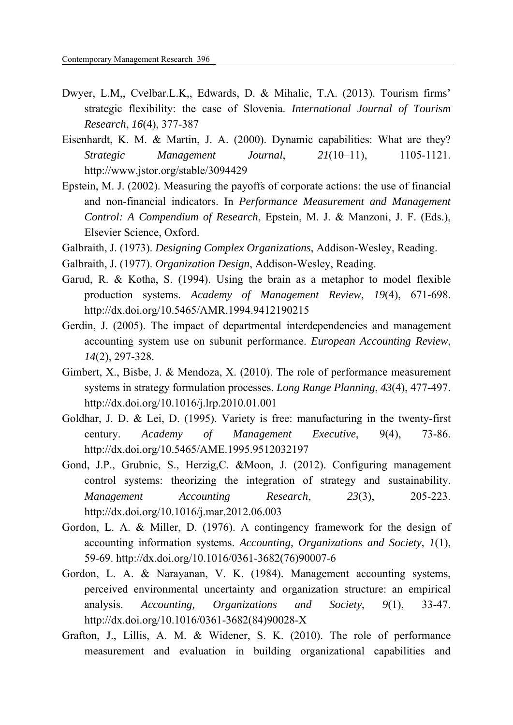- Dwyer, L.M,, Cvelbar.L.K,, Edwards, D. & Mihalic, T.A. (2013). Tourism firms' strategic flexibility: the case of Slovenia. *International Journal of Tourism Research*, *16*(4), 377-387
- Eisenhardt, K. M. & Martin, J. A. (2000). Dynamic capabilities: What are they? *Strategic Management Journal*, *21*(10–11), 1105-1121. http://www.jstor.org/stable/3094429
- Epstein, M. J. (2002). Measuring the payoffs of corporate actions: the use of financial and non-financial indicators. In *Performance Measurement and Management Control: A Compendium of Research*, Epstein, M. J. & Manzoni, J. F. (Eds.), Elsevier Science, Oxford.
- Galbraith, J. (1973). *Designing Complex Organizations*, Addison-Wesley, Reading.
- Galbraith, J. (1977). *Organization Design*, Addison-Wesley, Reading.
- Garud, R. & Kotha, S. (1994). Using the brain as a metaphor to model flexible production systems. *Academy of Management Review*, *19*(4), 671-698. http://dx.doi.org/10.5465/AMR.1994.9412190215
- Gerdin, J. (2005). The impact of departmental interdependencies and management accounting system use on subunit performance. *European Accounting Review*, *14*(2), 297-328.
- Gimbert, X., Bisbe, J. & Mendoza, X. (2010). The role of performance measurement systems in strategy formulation processes. *Long Range Planning*, *43*(4), 477-497. http://dx.doi.org/10.1016/j.lrp.2010.01.001
- Goldhar, J. D. & Lei, D. (1995). Variety is free: manufacturing in the twenty-first century. *Academy of Management Executive*, 9(4), 73-86. http://dx.doi.org/10.5465/AME.1995.9512032197
- Gond, J.P., Grubnic, S., Herzig,C. &Moon, J. (2012). Configuring management control systems: theorizing the integration of strategy and sustainability. *Management Accounting Research*, *23*(3), 205-223. http://dx.doi.org/10.1016/j.mar.2012.06.003
- Gordon, L. A. & Miller, D. (1976). A contingency framework for the design of accounting information systems. *Accounting, Organizations and Society*, *1*(1), 59-69. http://dx.doi.org/10.1016/0361-3682(76)90007-6
- Gordon, L. A. & Narayanan, V. K. (1984). Management accounting systems, perceived environmental uncertainty and organization structure: an empirical analysis. *Accounting, Organizations and Society*, *9*(1), 33-47. http://dx.doi.org/10.1016/0361-3682(84)90028-X
- Grafton, J., Lillis, A. M. & Widener, S. K. (2010). The role of performance measurement and evaluation in building organizational capabilities and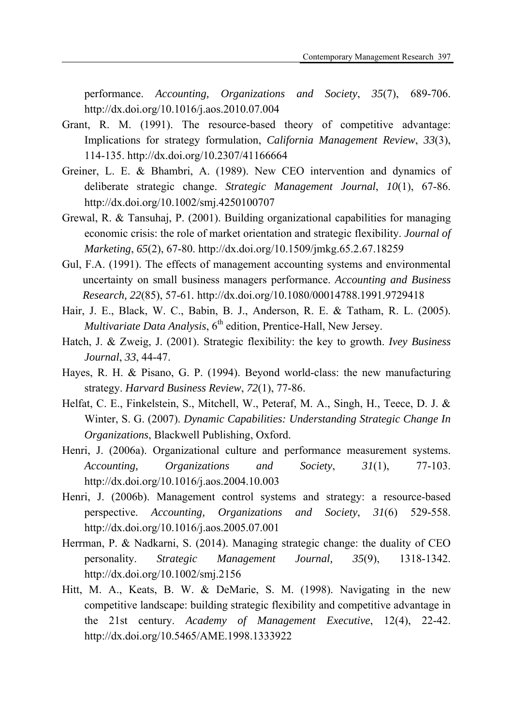performance. *Accounting, Organizations and Society*, *35*(7), 689-706. http://dx.doi.org/10.1016/j.aos.2010.07.004

- Grant, R. M. (1991). The resource-based theory of competitive advantage: Implications for strategy formulation, *California Management Review*, *33*(3), 114-135. http://dx.doi.org/10.2307/41166664
- Greiner, L. E. & Bhambri, A. (1989). New CEO intervention and dynamics of deliberate strategic change. *Strategic Management Journal*, *10*(1), 67-86. http://dx.doi.org/10.1002/smj.4250100707
- Grewal, R. & Tansuhaj, P. (2001). Building organizational capabilities for managing economic crisis: the role of market orientation and strategic flexibility. *Journal of Marketing*, *65*(2), 67-80. http://dx.doi.org/10.1509/jmkg.65.2.67.18259
- Gul, F.A. (1991). The effects of management accounting systems and environmental uncertainty on small business managers performance. *Accounting and Business Research, 22*(85), 57-61*.* http://dx.doi.org/10.1080/00014788.1991.9729418
- Hair, J. E., Black, W. C., Babin, B. J., Anderson, R. E. & Tatham, R. L. (2005). *Multivariate Data Analysis*, 6<sup>th</sup> edition, Prentice-Hall, New Jersey.
- Hatch, J. & Zweig, J. (2001). Strategic flexibility: the key to growth. *Ivey Business Journal*, *33*, 44-47.
- Hayes, R. H. & Pisano, G. P. (1994). Beyond world-class: the new manufacturing strategy. *Harvard Business Review*, *72*(1), 77-86.
- Helfat, C. E., Finkelstein, S., Mitchell, W., Peteraf, M. A., Singh, H., Teece, D. J. & Winter, S. G. (2007). *Dynamic Capabilities: Understanding Strategic Change In Organizations*, Blackwell Publishing, Oxford.
- Henri, J. (2006a). Organizational culture and performance measurement systems. *Accounting, Organizations and Society*, *31*(1), 77-103. http://dx.doi.org/10.1016/j.aos.2004.10.003
- Henri, J. (2006b). Management control systems and strategy: a resource-based perspective. *Accounting, Organizations and Society*, *31*(6) 529-558. http://dx.doi.org/10.1016/j.aos.2005.07.001
- Herrman, P. & Nadkarni, S. (2014). Managing strategic change: the duality of CEO personality. *Strategic Management Journal, 35*(9), 1318-1342. http://dx.doi.org/10.1002/smj.2156
- Hitt, M. A., Keats, B. W. & DeMarie, S. M. (1998). Navigating in the new competitive landscape: building strategic flexibility and competitive advantage in the 21st century. *Academy of Management Executive*, 12(4), 22-42. http://dx.doi.org/10.5465/AME.1998.1333922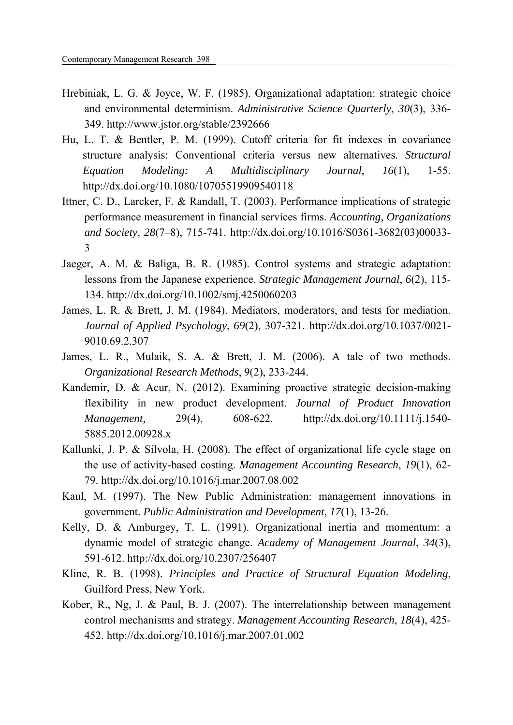- Hrebiniak, L. G. & Joyce, W. F. (1985). Organizational adaptation: strategic choice and environmental determinism. *Administrative Science Quarterly*, *30*(3), 336- 349. http://www.jstor.org/stable/2392666
- Hu, L. T. & Bentler, P. M. (1999). Cutoff criteria for fit indexes in covariance structure analysis: Conventional criteria versus new alternatives. *Structural Equation Modeling: A Multidisciplinary Journal*, *16*(1), 1-55. http://dx.doi.org/10.1080/10705519909540118
- Ittner, C. D., Larcker, F. & Randall, T. (2003). Performance implications of strategic performance measurement in financial services firms. *Accounting, Organizations and Society*, *28*(7–8), 715-741. http://dx.doi.org/10.1016/S0361-3682(03)00033- 3
- Jaeger, A. M. & Baliga, B. R. (1985). Control systems and strategic adaptation: lessons from the Japanese experience. *Strategic Management Journal*, *6*(2), 115- 134. http://dx.doi.org/10.1002/smj.4250060203
- James, L. R. & Brett, J. M. (1984). Mediators, moderators, and tests for mediation. *Journal of Applied Psychology*, *69*(2), 307-321. http://dx.doi.org/10.1037/0021- 9010.69.2.307
- James, L. R., Mulaik, S. A. & Brett, J. M. (2006). A tale of two methods. *Organizational Research Methods*, 9(2), 233-244.
- Kandemir, D. & Acur, N. (2012). Examining proactive strategic decision-making flexibility in new product development. *Journal of Product Innovation Management,* 29(4), 608-622. http://dx.doi.org/10.1111/j.1540- 5885.2012.00928.x
- Kallunki, J. P. & Silvola, H. (2008). The effect of organizational life cycle stage on the use of activity-based costing. *Management Accounting Research*, *19*(1), 62- 79. http://dx.doi.org/10.1016/j.mar.2007.08.002
- Kaul, M. (1997). The New Public Administration: management innovations in government. *Public Administration and Development*, *17*(1), 13-26.
- Kelly, D. & Amburgey, T. L. (1991). Organizational inertia and momentum: a dynamic model of strategic change. *Academy of Management Journal*, *34*(3), 591-612. http://dx.doi.org/10.2307/256407
- Kline, R. B. (1998). *Principles and Practice of Structural Equation Modeling*, Guilford Press, New York.
- Kober, R., Ng, J. & Paul, B. J. (2007). The interrelationship between management control mechanisms and strategy. *Management Accounting Research*, *18*(4), 425- 452. http://dx.doi.org/10.1016/j.mar.2007.01.002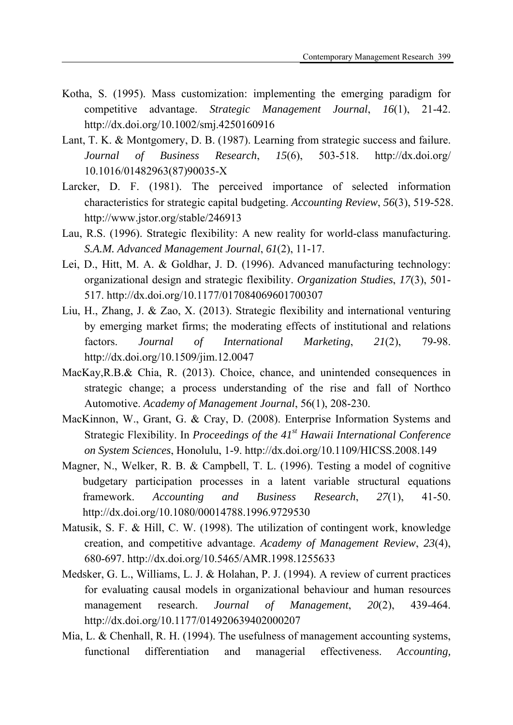- Kotha, S. (1995). Mass customization: implementing the emerging paradigm for competitive advantage. *Strategic Management Journal*, *16*(1), 21-42. http://dx.doi.org/10.1002/smj.4250160916
- Lant, T. K. & Montgomery, D. B. (1987). Learning from strategic success and failure. *Journal of Business Research*, *15*(6), 503-518. http://dx.doi.org/ 10.1016/01482963(87)90035-X
- Larcker, D. F. (1981). The perceived importance of selected information characteristics for strategic capital budgeting. *Accounting Review*, *56*(3), 519-528. http://www.jstor.org/stable/246913
- Lau, R.S. (1996). Strategic flexibility: A new reality for world-class manufacturing. *S.A.M. Advanced Management Journal*, *61*(2), 11-17.
- Lei, D., Hitt, M. A. & Goldhar, J. D. (1996). Advanced manufacturing technology: organizational design and strategic flexibility. *Organization Studies*, *17*(3), 501- 517. http://dx.doi.org/10.1177/017084069601700307
- Liu, H., Zhang, J. & Zao, X. (2013). Strategic flexibility and international venturing by emerging market firms; the moderating effects of institutional and relations factors. *Journal of International Marketing*, *21*(2), 79-98. http://dx.doi.org/10.1509/jim.12.0047
- MacKay,R.B.& Chia, R. (2013). Choice, chance, and unintended consequences in strategic change; a process understanding of the rise and fall of Northco Automotive. *Academy of Management Journal*, 56(1), 208-230.
- MacKinnon, W., Grant, G. & Cray, D. (2008). Enterprise Information Systems and Strategic Flexibility. In *Proceedings of the 41st Hawaii International Conference on System Sciences*, Honolulu, 1-9. http://dx.doi.org/10.1109/HICSS.2008.149
- Magner, N., Welker, R. B. & Campbell, T. L. (1996). Testing a model of cognitive budgetary participation processes in a latent variable structural equations framework. *Accounting and Business Research*, *27*(1), 41-50. http://dx.doi.org/10.1080/00014788.1996.9729530
- Matusik, S. F. & Hill, C. W. (1998). The utilization of contingent work, knowledge creation, and competitive advantage. *Academy of Management Review*, *23*(4), 680-697. http://dx.doi.org/10.5465/AMR.1998.1255633
- Medsker, G. L., Williams, L. J. & Holahan, P. J. (1994). A review of current practices for evaluating causal models in organizational behaviour and human resources management research. *Journal of Management*, *20*(2), 439-464. http://dx.doi.org/10.1177/014920639402000207
- Mia, L. & Chenhall, R. H. (1994). The usefulness of management accounting systems, functional differentiation and managerial effectiveness. *Accounting,*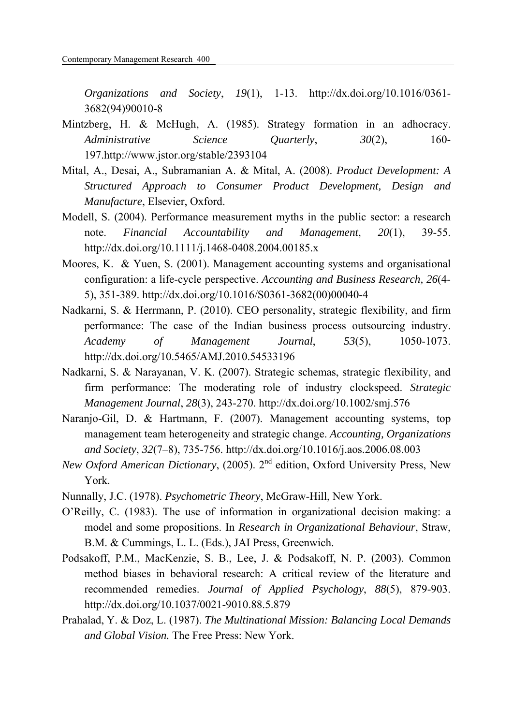*Organizations and Society*, *19*(1), 1-13. http://dx.doi.org/10.1016/0361- 3682(94)90010-8

- Mintzberg, H. & McHugh, A. (1985). Strategy formation in an adhocracy. *Administrative Science Quarterly*, *30*(2), 160- 197.http://www.jstor.org/stable/2393104
- Mital, A., Desai, A., Subramanian A. & Mital, A. (2008). *Product Development: A Structured Approach to Consumer Product Development, Design and Manufacture*, Elsevier, Oxford.
- Modell, S. (2004). Performance measurement myths in the public sector: a research note. *Financial Accountability and Management*, *20*(1), 39-55. http://dx.doi.org/10.1111/j.1468-0408.2004.00185.x
- Moores, K. & Yuen, S. (2001). Management accounting systems and organisational configuration: a life-cycle perspective. *Accounting and Business Research, 26*(4- 5), 351-389. http://dx.doi.org/10.1016/S0361-3682(00)00040-4
- Nadkarni, S. & Herrmann, P. (2010). CEO personality, strategic flexibility, and firm performance: The case of the Indian business process outsourcing industry. *Academy of Management Journal*, *53*(5), 1050-1073. http://dx.doi.org/10.5465/AMJ.2010.54533196
- Nadkarni, S. & Narayanan, V. K. (2007). Strategic schemas, strategic flexibility, and firm performance: The moderating role of industry clockspeed. *Strategic Management Journal*, *28*(3), 243-270. http://dx.doi.org/10.1002/smj.576
- Naranjo-Gil, D. & Hartmann, F. (2007). Management accounting systems, top management team heterogeneity and strategic change. *Accounting, Organizations and Society*, *32*(7–8), 735-756. http://dx.doi.org/10.1016/j.aos.2006.08.003
- *New Oxford American Dictionary*, (2005). 2<sup>nd</sup> edition, Oxford University Press, New York.
- Nunnally, J.C. (1978). *Psychometric Theory*, McGraw-Hill, New York.
- O'Reilly, C. (1983). The use of information in organizational decision making: a model and some propositions. In *Research in Organizational Behaviour*, Straw, B.M. & Cummings, L. L. (Eds.), JAI Press, Greenwich.
- Podsakoff, P.M., MacKenzie, S. B., Lee, J. & Podsakoff, N. P. (2003). Common method biases in behavioral research: A critical review of the literature and recommended remedies. *Journal of Applied Psychology*, *88*(5), 879-903. http://dx.doi.org/10.1037/0021-9010.88.5.879
- Prahalad, Y. & Doz, L. (1987). *The Multinational Mission: Balancing Local Demands and Global Vision.* The Free Press: New York.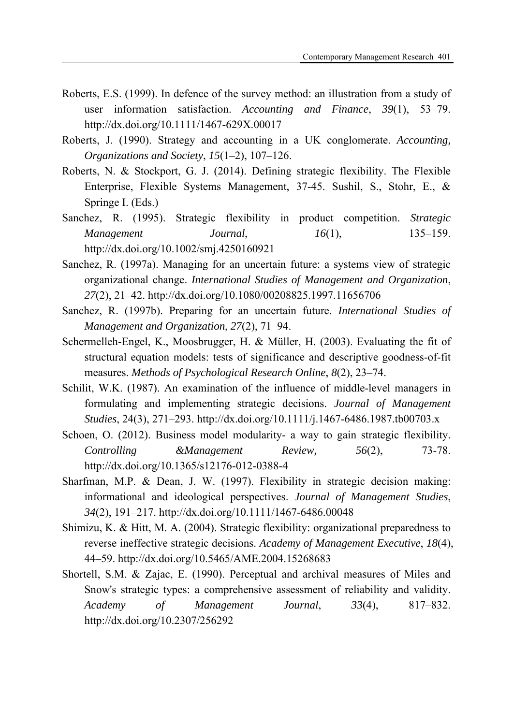- Roberts, E.S. (1999). In defence of the survey method: an illustration from a study of user information satisfaction. *Accounting and Finance*, *39*(1), 53–79. http://dx.doi.org/10.1111/1467-629X.00017
- Roberts, J. (1990). Strategy and accounting in a UK conglomerate. *Accounting, Organizations and Society*, *15*(1–2), 107–126.
- Roberts, N. & Stockport, G. J. (2014). Defining strategic flexibility. The Flexible Enterprise, Flexible Systems Management, 37-45. Sushil, S., Stohr, E., & Springe I. (Eds.)
- Sanchez, R. (1995). Strategic flexibility in product competition. *Strategic Management Journal*, *16*(1), 135–159. http://dx.doi.org/10.1002/smj.4250160921
- Sanchez, R. (1997a). Managing for an uncertain future: a systems view of strategic organizational change. *International Studies of Management and Organization*, *27*(2), 21–42. http://dx.doi.org/10.1080/00208825.1997.11656706
- Sanchez, R. (1997b). Preparing for an uncertain future. *International Studies of Management and Organization*, *27*(2), 71–94.
- Schermelleh-Engel, K., Moosbrugger, H. & Müller, H. (2003). Evaluating the fit of structural equation models: tests of significance and descriptive goodness-of-fit measures. *Methods of Psychological Research Online*, *8*(2), 23–74.
- Schilit, W.K. (1987). An examination of the influence of middle-level managers in formulating and implementing strategic decisions. *Journal of Management Studies*, 24(3), 271–293. http://dx.doi.org/10.1111/j.1467-6486.1987.tb00703.x
- Schoen, O. (2012). Business model modularity- a way to gain strategic flexibility. *Controlling &Management Review, 56*(2), 73-78. http://dx.doi.org/10.1365/s12176-012-0388-4
- Sharfman, M.P. & Dean, J. W. (1997). Flexibility in strategic decision making: informational and ideological perspectives. *Journal of Management Studies*, *34*(2), 191–217. http://dx.doi.org/10.1111/1467-6486.00048
- Shimizu, K. & Hitt, M. A. (2004). Strategic flexibility: organizational preparedness to reverse ineffective strategic decisions. *Academy of Management Executive*, *18*(4), 44–59. http://dx.doi.org/10.5465/AME.2004.15268683
- Shortell, S.M. & Zajac, E. (1990). Perceptual and archival measures of Miles and Snow's strategic types: a comprehensive assessment of reliability and validity. *Academy of Management Journal*, *33*(4), 817–832. http://dx.doi.org/10.2307/256292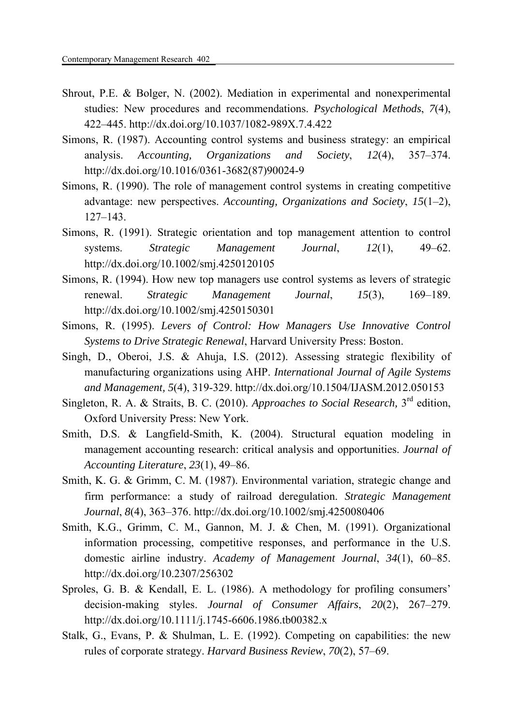- Shrout, P.E. & Bolger, N. (2002). Mediation in experimental and nonexperimental studies: New procedures and recommendations. *Psychological Methods*, *7*(4), 422–445. http://dx.doi.org/10.1037/1082-989X.7.4.422
- Simons, R. (1987). Accounting control systems and business strategy: an empirical analysis. *Accounting, Organizations and Society*, *12*(4), 357–374. http://dx.doi.org/10.1016/0361-3682(87)90024-9
- Simons, R. (1990). The role of management control systems in creating competitive advantage: new perspectives. *Accounting, Organizations and Society*, *15*(1–2), 127–143.
- Simons, R. (1991). Strategic orientation and top management attention to control systems. *Strategic Management Journal*, *12*(1), 49–62. http://dx.doi.org/10.1002/smj.4250120105
- Simons, R. (1994). How new top managers use control systems as levers of strategic renewal. *Strategic Management Journal*, *15*(3), 169–189. http://dx.doi.org/10.1002/smj.4250150301
- Simons, R. (1995). *Levers of Control: How Managers Use Innovative Control Systems to Drive Strategic Renewal*, Harvard University Press: Boston.
- Singh, D., Oberoi, J.S. & Ahuja, I.S. (2012). Assessing strategic flexibility of manufacturing organizations using AHP. *International Journal of Agile Systems and Management, 5*(4), 319-329. http://dx.doi.org/10.1504/IJASM.2012.050153
- Singleton, R. A. & Straits, B. C. (2010). *Approaches to Social Research,* 3rd edition, Oxford University Press: New York.
- Smith, D.S. & Langfield-Smith, K. (2004). Structural equation modeling in management accounting research: critical analysis and opportunities. *Journal of Accounting Literature*, *23*(1), 49–86.
- Smith, K. G. & Grimm, C. M. (1987). Environmental variation, strategic change and firm performance: a study of railroad deregulation. *Strategic Management Journal*, *8*(4), 363–376. http://dx.doi.org/10.1002/smj.4250080406
- Smith, K.G., Grimm, C. M., Gannon, M. J. & Chen, M. (1991). Organizational information processing, competitive responses, and performance in the U.S. domestic airline industry. *Academy of Management Journal*, *34*(1), 60–85. http://dx.doi.org/10.2307/256302
- Sproles, G. B. & Kendall, E. L. (1986). A methodology for profiling consumers' decision-making styles. *Journal of Consumer Affairs*, *20*(2), 267–279. http://dx.doi.org/10.1111/j.1745-6606.1986.tb00382.x
- Stalk, G., Evans, P. & Shulman, L. E. (1992). Competing on capabilities: the new rules of corporate strategy. *Harvard Business Review*, *70*(2), 57–69.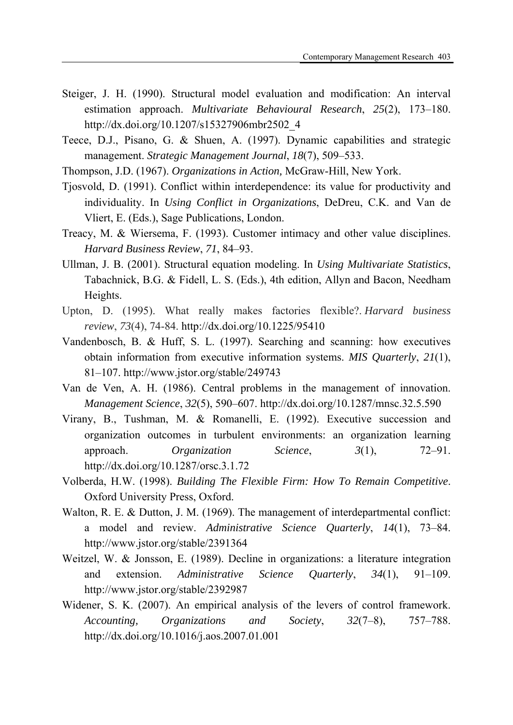- Steiger, J. H. (1990). Structural model evaluation and modification: An interval estimation approach. *Multivariate Behavioural Research*, *25*(2), 173–180. http://dx.doi.org/10.1207/s15327906mbr2502\_4
- Teece, D.J., Pisano, G. & Shuen, A. (1997). Dynamic capabilities and strategic management. *Strategic Management Journal*, *18*(7), 509–533.
- Thompson, J.D. (1967). *Organizations in Action,* McGraw-Hill, New York.
- Tjosvold, D. (1991). Conflict within interdependence: its value for productivity and individuality. In *Using Conflict in Organizations*, DeDreu, C.K. and Van de Vliert, E. (Eds.), Sage Publications, London.
- Treacy, M. & Wiersema, F. (1993). Customer intimacy and other value disciplines. *Harvard Business Review*, *71*, 84–93.
- Ullman, J. B. (2001). Structural equation modeling. In *Using Multivariate Statistics*, Tabachnick, B.G. & Fidell, L. S. (Eds.), 4th edition, Allyn and Bacon, Needham Heights.
- Upton, D. (1995). What really makes factories flexible?. *Harvard business review*, *73*(4), 74-84. http://dx.doi.org/10.1225/95410
- Vandenbosch, B. & Huff, S. L. (1997). Searching and scanning: how executives obtain information from executive information systems. *MIS Quarterly*, *21*(1), 81–107. http://www.jstor.org/stable/249743
- Van de Ven, A. H. (1986). Central problems in the management of innovation. *Management Science*, *32*(5), 590–607. http://dx.doi.org/10.1287/mnsc.32.5.590
- Virany, B., Tushman, M. & Romanelli, E. (1992). Executive succession and organization outcomes in turbulent environments: an organization learning approach. *Organization Science*, *3*(1), 72–91. http://dx.doi.org/10.1287/orsc.3.1.72
- Volberda, H.W. (1998). *Building The Flexible Firm: How To Remain Competitive*. Oxford University Press, Oxford.
- Walton, R. E. & Dutton, J. M. (1969). The management of interdepartmental conflict: a model and review. *Administrative Science Quarterly*, *14*(1), 73–84. http://www.jstor.org/stable/2391364
- Weitzel, W. & Jonsson, E. (1989). Decline in organizations: a literature integration and extension. *Administrative Science Quarterly*, *34*(1), 91–109. http://www.jstor.org/stable/2392987
- Widener, S. K. (2007). An empirical analysis of the levers of control framework. *Accounting, Organizations and Society*, *32*(7–8), 757–788. http://dx.doi.org/10.1016/j.aos.2007.01.001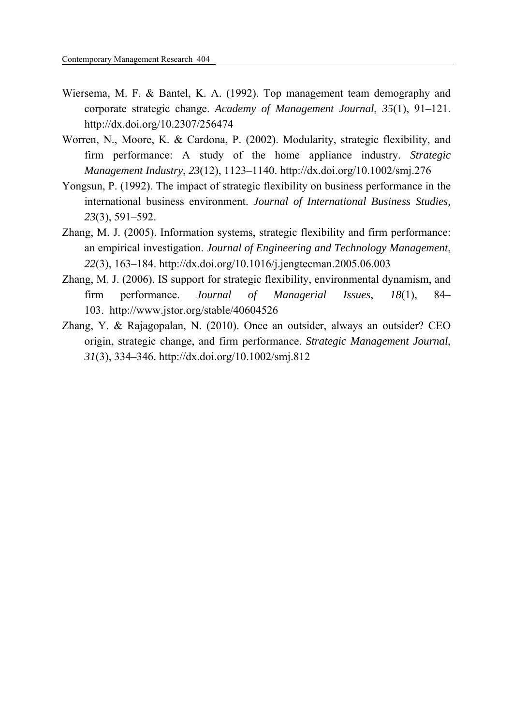- Wiersema, M. F. & Bantel, K. A. (1992). Top management team demography and corporate strategic change. *Academy of Management Journal*, *35*(1), 91–121. http://dx.doi.org/10.2307/256474
- Worren, N., Moore, K. & Cardona, P. (2002). Modularity, strategic flexibility, and firm performance: A study of the home appliance industry. *Strategic Management Industry*, *23*(12), 1123–1140. http://dx.doi.org/10.1002/smj.276
- Yongsun, P. (1992). The impact of strategic flexibility on business performance in the international business environment. *Journal of International Business Studies, 23*(3), 591–592.
- Zhang, M. J. (2005). Information systems, strategic flexibility and firm performance: an empirical investigation. *Journal of Engineering and Technology Management*, *22*(3), 163–184. http://dx.doi.org/10.1016/j.jengtecman.2005.06.003
- Zhang, M. J. (2006). IS support for strategic flexibility, environmental dynamism, and firm performance. *Journal of Managerial Issues*, *18*(1), 84– 103. http://www.jstor.org/stable/40604526
- Zhang, Y. & Rajagopalan, N. (2010). Once an outsider, always an outsider? CEO origin, strategic change, and firm performance. *Strategic Management Journal*, *31*(3), 334–346. http://dx.doi.org/10.1002/smj.812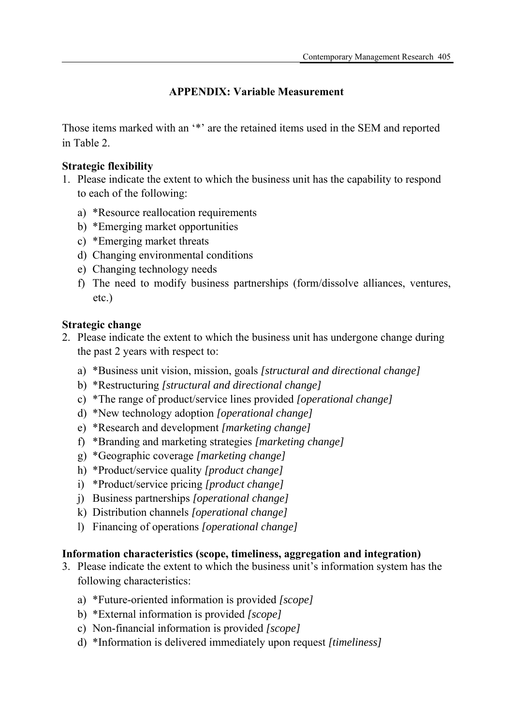# **APPENDIX: Variable Measurement**

Those items marked with an '\*' are the retained items used in the SEM and reported in Table 2.

# **Strategic flexibility**

- 1. Please indicate the extent to which the business unit has the capability to respond to each of the following:
	- a) \*Resource reallocation requirements
	- b) \*Emerging market opportunities
	- c) \*Emerging market threats
	- d) Changing environmental conditions
	- e) Changing technology needs
	- f) The need to modify business partnerships (form/dissolve alliances, ventures, etc.)

# **Strategic change**

- 2. Please indicate the extent to which the business unit has undergone change during the past 2 years with respect to:
	- a) \*Business unit vision, mission, goals *[structural and directional change]*
	- b) \*Restructuring *[structural and directional change]*
	- c) \*The range of product/service lines provided *[operational change]*
	- d) \*New technology adoption *[operational change]*
	- e) \*Research and development *[marketing change]*
	- f) \*Branding and marketing strategies *[marketing change]*
	- g) \*Geographic coverage *[marketing change]*
	- h) \*Product/service quality *[product change]*
	- i) \*Product/service pricing *[product change]*
	- j) Business partnerships *[operational change]*
	- k) Distribution channels *[operational change]*
	- l) Financing of operations *[operational change]*

# **Information characteristics (scope, timeliness, aggregation and integration)**

- 3. Please indicate the extent to which the business unit's information system has the following characteristics:
	- a) \*Future-oriented information is provided *[scope]*
	- b) \*External information is provided *[scope]*
	- c) Non-financial information is provided *[scope]*
	- d) \*Information is delivered immediately upon request *[timeliness]*